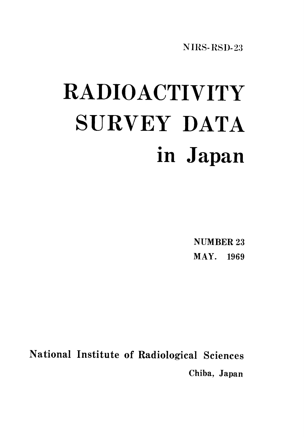NIRS-RSD-23

# RADIOACTIVITY SURVEY DATA in Japan

**NUMBER 23** MAY. 1969

National Institute of Radiological Sciences Chiba, Japan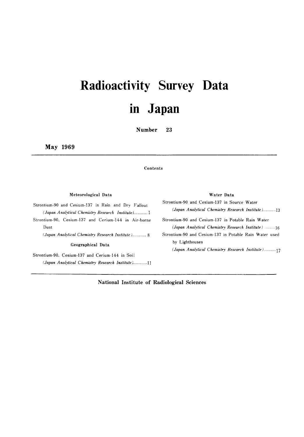# **Radioactivity Survey Data** in Japan

**Number** 23

May 1969

Dust

#### Contents

#### Meteorological Data

Strontium-90 and Cesium-137 in Rain and Dry Fallout (Japan Analytical Chemistry Research Institute)...........1 Strontium-90, Cesium-137 and Cerium-144 in Air-borne

(Japan Analytical Chemistry Research Institute)............ 8

#### Geographical Data

Strontium-90, Cesium-137 and Cerium-144 in Soil (Japan Analytical Chemistry Research Institute)..............11

#### Water Data

Strontium-90 and Cesium-137 in Source Water

(Japan Analytical Chemistry Research Institute)...........13 Strontium-90 and Cesium-137 in Potable Rain Water (Japan Analytical Chemistry Research Institute) ......... 16 Strontium-90 and Cesium-137 in Potable Rain Water used by Lighthouses (Japan Analytical Chemistry Research Institute)..........17

National Institute of Radiological Sciences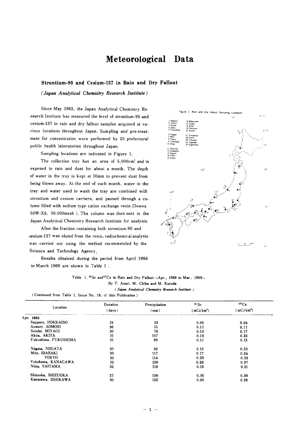#### Meteorological Data

#### Strontium-90 and Cesium-137 in Rain and Dry Fallout

(Japan Analytical Chemistry Research Institute)

Since May 1963, the Japan Analytical Chemistry Research Institute has measured the level of strontium-90 and cesium-137 in rain and dry fallout samples acquired at various locations throughout Japan. Sampling and pre-treatment for concentration were performed by 25 prefectural public health laboratories throughout Japan.

Sampling locations are indicated in Figure 1.

The collection tray has an area of 5,000cm? and is exposed to rain and dust for about a month. The depth of water in the tray is kept at 10mm to prevent dust from being blown away. At the end of each month, water in the tray and water used to wash the tray are combined with strontium and cesium carriers, and passed through a column filled with sodium type cation exchange resin (Dowex 50W-X8, 50-100mesh). The column was then sent to the Japan Analytical Chemistry Research Institute for analysis.

After the fraction containing both strontium-90 and cesium-137 was eluted from the resin, radiochemical analysis was carried out using the method recommended by the Science and Technology Agency.

Results obtained during the period from April 1968 to March 1969 are shown in Table 1.



Table 1. 90 Sr and<sup>137</sup>Cs in Rain and Dry Fallout -Apr., 1968 to Mar., 1969-By T. Asari, M. Chiba and M. Kuroda

(Japan Analytical Chemistry Research Institute)

(Continued from Table 1, Issue No. 19, of this Publication)

|                      | Duration | Precipitation | $\rm{^{90}Sr}$ | $^{137}Cs$               |
|----------------------|----------|---------------|----------------|--------------------------|
| Location             | (days)   | (mm)          | $(mCi/km^2)$   | $m$ Ci/km <sup>2</sup> ) |
| Apr. 1968            |          |               |                |                          |
| Sapporo, HOKKAIDO    | 31       | 33            | 0.05           | 0.04                     |
| Aomori. AOMORI       | 36       | 51            | 0.11           | 0.11                     |
| Sendai. MIYAGI       | 30       | 76            | 0.10           | 0.17                     |
| Akita, AKITA         | 31       | 107           | 0.16           | 0.22                     |
| Fukushima. FUKUSHIMA | 31       | 89            | 0.11           | 0.15                     |
| Niigata, NIIGATA     | 30       | 82            | 0.15           | 0.23                     |
| Mito. IBARAKI        | 30       | 117           | 0.17           | 0.24                     |
| <b>TOKYO</b>         | 30       | 114           | 0.29           | 0.33                     |
| Yokohama, KANAGAWA   | 32       | 128           | 0.26           | 0.37                     |
| Niiza, SAITAMA       | 32       | 118           | 0.16           | 0.21                     |
| Shizuoka, SHIZUOKA   | 27       | 138           | 0.30           | 0.39                     |
| Kanazawa, ISHIKAWA   | 30       | 122           | 0.20           | 0.26                     |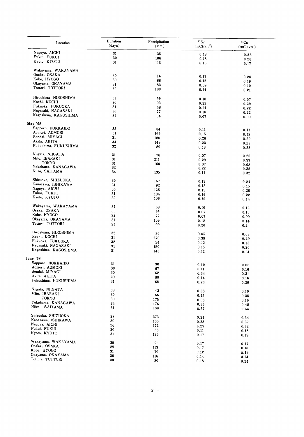| Location                                   | Duration<br>(days) | Precipitation<br>(mm) | $\rm{^{90}Sr}$<br>$(mCi/km^2)$ | 117Cs<br>(mCi/km <sup>2</sup> ) |
|--------------------------------------------|--------------------|-----------------------|--------------------------------|---------------------------------|
| Nagoya, AICHI                              | 31                 | 135                   |                                |                                 |
| Fukui, FUKUI                               | 30                 | 106                   | 0.18                           | 0.25                            |
| Kyoto, KYOTO                               | 31                 | 113                   | 0.18<br>0.15                   | 0.26<br>0.17                    |
|                                            |                    |                       |                                |                                 |
| Wakayama, WAKAYAMA<br>Osaka, OSAKA         |                    |                       |                                |                                 |
|                                            | 30                 | 114                   | 0.17                           | 0.20                            |
| Kobe, HYOGO                                | 30                 | 88                    | 0.15                           | 0.19                            |
| Okayama, OKAYAMA                           | 31                 | 83                    | 0.09                           | 0.10                            |
| Tottori, TOTTORI                           | 30                 | 100                   | 0.14                           | 0.21                            |
| Hiroshima HIROSHIMA                        | 31                 |                       |                                |                                 |
| Kochi, KOCHI                               | 30                 | 59                    | 0.10                           | 0.07                            |
| Fukuoka, FUKUOKA                           |                    | 93                    | 0.23                           | 0.29                            |
|                                            | 31                 | 48                    | 0.14                           | 0.22                            |
| Nagasaki, NAGASAKI<br>Kagoshima, KAGOSHIMA | 30<br>31           | 77<br>54              | 0.16                           | 0.22                            |
|                                            |                    |                       | 0.07                           | 0.09                            |
| May '68                                    |                    |                       |                                |                                 |
| Sapporo, HOKKAIDO                          | 32                 | 84                    | 0.11                           | 0.11                            |
| Aomori, AOMORI                             | 31                 | 169                   | 0,15                           | 0.18                            |
| Sendai, MIYAGI                             | 31                 | 180                   | 0.26                           | 0.29                            |
| Akita, AKITA                               | 34                 | 148                   | 0.23                           | 0.28                            |
| Fukushima, FUKUSHIMA                       | 32                 | 89                    | 0.18                           | 0.23                            |
| Niigata, NIIGATA                           | 31                 | 76                    |                                |                                 |
| Mito, IBARAKI                              | 31                 |                       | 0.07                           | 0.20                            |
| TOKYO                                      | 31                 | 211                   | 0.29                           | 0.37                            |
| Yokohama, KANAGAWA                         | 32                 | 160                   | 0.07                           | 0.08                            |
| Niiza, SAITAMA                             | 34                 |                       | 0.22                           | 0.25                            |
|                                            |                    | 135                   | 0.11                           | 0.32                            |
| Shizuoka, SHIZUOKA                         | 30                 | 167                   | 0.13                           | 0.24                            |
| Kanazawa, ISHIKAWA                         | 31                 | 92                    | 0.13                           | 0.15                            |
| Nagoya, AICHI                              | 35                 | 126                   | 0.15                           | 0.20                            |
| Fukui, FUKUI                               | 31                 | 104                   | 0.16                           | 0.22                            |
| Kyoto, KYOTO                               | 32                 | 106                   | 0.10                           | 0.14                            |
| Wakayama, WAKAYAMA                         |                    |                       |                                |                                 |
| Osaka, OSAKA                               | 32                 | 69                    | 0.10                           | 0.12                            |
| Kobe, HYOGO                                | 33                 | 95                    | 0.07                           | 0.10                            |
|                                            | 32                 | 77                    | 0.07                           | 0.09                            |
| Okayama, OKAYAMA                           | 31                 | 109                   | 0.12                           | 0.14                            |
| Tottori, TOTTORI                           | 31                 | 99                    | 0.20                           | 0.24                            |
| Hiroshima, HIROSHIMA                       | 32                 | 36                    | 0.05                           | 0.08                            |
| Kochi, KOCHI                               | 31                 | 270                   | 0.38                           | 0.49                            |
| Fukuoka, FUKUOKA                           | 32                 | 24                    | 0.12                           |                                 |
| Nagasaki, NAGASAKI                         | 31                 | 150                   |                                | 0.13                            |
| Kagoshima, KAGOSHIMA                       | 31                 | 148                   | 0.15<br>0.12                   | 0.20<br>0.14                    |
|                                            |                    |                       |                                |                                 |
| June '68<br>Sapporo, HOKKAIDO              | 31                 |                       |                                |                                 |
| Aomori, AOMORI                             |                    | 30                    | 0.10                           | 0.05                            |
| Sendai, MIYAGI                             | 30                 | 67                    | 0.11                           | 0.16                            |
| Akita, AKITA                               | 30                 | 162                   | 0.34                           | 0.31                            |
| Fukushima, FUKUSHIMA                       | 29<br>31           | 80<br>168             | 0.14                           | 0.16                            |
|                                            |                    |                       | 0.23                           | 0.29                            |
| Niigata, NIIGATA                           | 30                 | 43                    | 0.08                           | 0.10                            |
| Mito, IBARAKI                              | 30                 | 166                   | 0.15                           | 0.35                            |
| TOKYO                                      | 30                 | 175                   | 0.08                           | 0.16                            |
| Yokohama, KANAGAWA                         | 34                 | 176                   | 0.35                           | 0.45                            |
| Niiza, SAITAMA                             | 31                 | 138                   | 0.37                           | 0.45                            |
| Shizuoka, SHIZUOKA                         | 28                 | 373                   |                                |                                 |
| Kanazawa, ISHIKAWA                         | 30                 |                       | 0.24                           | 0.34                            |
| Nagoya, AICHI                              |                    | 135                   | 0.33                           | 0.37                            |
| Fukui, FUKUI                               | 26                 | 172                   | 0.27                           | 0.32                            |
| Kyoto, KYOTO                               | 30<br>31           | 56<br>126             | 0.11                           | 0.15                            |
|                                            |                    |                       | 0.17                           | 0.19                            |
| Wakayama, WAKAYAMA                         | 35                 | 95                    | 0.17                           | 0.17                            |
| Osaka, OSAKA                               | 29                 | 113                   | 0.17                           | 0.18                            |
| Kobe, HYOGO                                | 31                 | 79                    | 0.12                           | 0.19                            |
| Okayama, OKAYAMA                           | 30                 | 116                   | 0.14                           | 0.14                            |
| Tottori: TOTTORI                           | 30                 | 80                    | 0.18                           | 0.24                            |
|                                            |                    |                       |                                |                                 |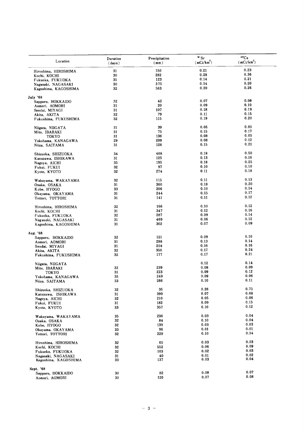| Location                             | Duration<br>(days) | Precipitation<br>(mm) | 90 Sr<br>$(mCi/km^2)$ | $^{137}\mathrm{Cs}$<br>$(\, \text{mCi}/\text{km}^2)$ |
|--------------------------------------|--------------------|-----------------------|-----------------------|------------------------------------------------------|
| Hiroshima, HIROSHIMA                 | 31                 | 150                   | 0.21                  | 0.23                                                 |
| Kochi, KOCHI                         | 30                 | 282                   | 0.28                  | 0.36                                                 |
| Fukuoka, FUKUOKA                     | 31                 | 123                   | 0.14                  | 0.21                                                 |
| Nagasaki, NAGASAKI                   | 30                 | 375                   | 0.14                  | 0.20                                                 |
| Kagoshima, KAGOSHIMA                 | 32                 | 563                   | 0.20                  | 0.26                                                 |
| July '68                             |                    |                       |                       |                                                      |
| Sapporo, HOKKAIDO                    | 32                 | 42                    | 0.07                  | 0.08                                                 |
| Aomori, AOMORI                       | 31                 | 20                    | 0.09                  | 0.10                                                 |
| Sendai, MIYAGI                       | 31                 | 107                   | 0.18                  | 0.19                                                 |
| Akita, AKITA                         | 32                 | 79                    | 0.11                  | 0.15                                                 |
| Fukushima, FUKUSHIMA                 | 32                 | 115                   | 0.19                  | 0.20                                                 |
|                                      | 31                 | 39                    | 0.05                  | 0.05                                                 |
| Niigata, NIIGATA                     | 31                 | 75                    | 0.15                  | 0.17                                                 |
| Mito, IBARAKI                        | 31                 | 136                   | 0.08                  | 0.05                                                 |
| TOKYO                                | 29                 | 209                   | 0.08                  | 0.12                                                 |
| Yokohama, KANAGAWA<br>Niiza, SAITAMA | 31                 | 126                   | 0.15                  | 0.21                                                 |
|                                      |                    |                       |                       |                                                      |
| Shizuoka, SHIZUOKA                   | 34                 | 408                   | 0.18                  | 0.50                                                 |
| Kanazawa, ISHIKAWA                   | 31                 | 125                   | 0.13                  | 0.16                                                 |
| Nagoya, AICHI                        | 35                 | 195                   | 0.18                  | 0.25                                                 |
| Fukui, FUKUI                         | 32                 | 97                    | 0.10                  | 0.10                                                 |
| Kyoto, KYOTO                         | 32                 | 274                   | 0.11                  | 0.18                                                 |
|                                      | 32                 | 115                   | 0.11                  | 0.13                                                 |
| Wakayama, WAKAYAMA<br>Osaka, OSAKA   | 31                 | 300                   | 0.18                  | 0.20                                                 |
|                                      | 33                 | 206                   | 0.10                  | 0.14                                                 |
| Kobe, HYOGO                          | 31                 | 244                   | 0.15                  | 0.17                                                 |
| Okayama, OKAYAMA<br>Tottori, TOTTORI | 31                 | 141                   | 0.11                  | 0.12                                                 |
|                                      |                    |                       |                       |                                                      |
| Hiroshima, HIROSHIMA                 | 32                 | 166                   | 0.10                  | 0.12                                                 |
| Kochi, KOCHI                         | 31                 | 347                   | 0.12                  | 0.16                                                 |
| Fukuoka, FUKUOKA                     | 32                 | 287                   | 0.09                  | 0.14                                                 |
| Nagasaki, NAGASAKI                   | 31                 | 469                   | 0.06                  | 0.12                                                 |
| Kagoshima, KAGOSHIMA                 | 31                 | 302                   | 0.07                  | 0.09                                                 |
| Aug. '68                             |                    |                       |                       |                                                      |
| Sapporo, HOKKAIDO                    | 32                 | 121                   | 0.09                  | 0.10                                                 |
| Aomori, AOMORI                       | 31                 | 298                   | 0.13                  | 0.14                                                 |
| Sendai, MIYAGI                       | 31                 | 204                   | 0.16                  | 0.16                                                 |
| Akita, AKITA                         | 32                 | 350                   | 0.17                  | 0.24                                                 |
| Fukushima, FUKUSHIMA                 | 32                 | 177                   | 0.17                  | 0.21                                                 |
|                                      |                    |                       |                       |                                                      |
| Niigata, NIIGATA                     |                    |                       | 0.12                  | 0.14                                                 |
| Mito, IBARAKI                        | 32                 | 239                   | 0.08                  | 0.09                                                 |
| TOKYO                                | 31                 | 223                   | 0.09                  | 0.12                                                 |
| Yokohama, KANAGAWA                   | 35<br>33           | 249<br>266            | 0.09<br>0.10          | 0.06<br>0.11                                         |
| Niiza, SAITAMA                       |                    |                       |                       |                                                      |
| Shizuoka, SHIZUOKA                   | 32                 | 35                    | 0.26                  | 0.75                                                 |
| Kanazawa, ISHIKAWA                   | 31                 | 399                   | 0.07                  | 0.08                                                 |
| Nagoya, AICHI                        | 32                 | 210                   | 0.05                  | 0.06                                                 |
| Fukui, FUKUI                         | 31                 | 182                   | 0.09                  | 0.15                                                 |
| Kyoto, KYOTO                         | 33                 | 357                   | 0.10                  | 0.12                                                 |
|                                      |                    |                       |                       | 0.04                                                 |
| Wakayama, WAKAYAMA                   | 35                 | 236                   | 0.03                  | 0.04                                                 |
| Osaka, OSAKA                         | 32                 | 84                    | 0.10                  |                                                      |
| Kobe, HYOGO                          | 32                 | 139                   | 0.03                  | 0.03                                                 |
| Okayama, OKAYAMA                     | 33                 | 96                    | 0.01                  | 0.01<br>0.14                                         |
| Tottori, TOTTORI                     | 32                 | 229                   | 0.10                  |                                                      |
| Hiroshima, HIROSHIMA                 | 32                 | 65                    | 0.03                  | 0.03                                                 |
| Kochi, KOCHI                         | 32                 | 552                   | 0.06                  | 0.09                                                 |
| Fukuoka, FUKUOKA                     | 32                 | 103                   | 0.02                  | 0.03                                                 |
| Nagasaki, NAGASAKI                   | 31                 | 40                    | 0.01                  | 0.02                                                 |
| Kagoshima, KAGOSHIMA                 | 33                 | 137                   | 0.03                  | 0.04                                                 |
|                                      |                    |                       |                       |                                                      |
| Sept. '68                            |                    |                       | 0.08                  | 0.07                                                 |
| Sapporo, HOKKAIDO                    | 30                 | 82                    |                       | 0.08                                                 |
| Aomori, AOMORI                       | 30                 | 120                   | 0.07                  |                                                      |
|                                      |                    |                       |                       |                                                      |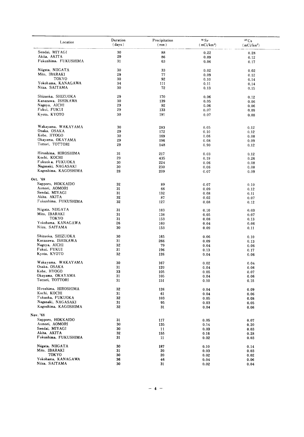| Location             | Duration<br>(days) | Precipitation<br>(mm) | 90 Sr<br>(mCi/km <sup>2</sup> ) | 137Cs<br>(mCi/km <sup>2</sup> ) |  |
|----------------------|--------------------|-----------------------|---------------------------------|---------------------------------|--|
| Sendai, MIYAGI       | 30                 | 88                    | 0.22                            | 0.28                            |  |
| Akita, AKITA         | 29                 | 86                    | 0.09                            | 0.12                            |  |
| Fukushima, FUKUSHIMA | 31                 | 63                    | 0.06                            | 0.17                            |  |
| Niigata, NIIGATA     | 30                 | 33                    | 0.02                            | 0.02                            |  |
| Mito, IBARAKI        | 29                 | 77                    | 0.09                            | 0.12                            |  |
| TOKYO                | 30                 | 92                    | 0.10                            | 0.14                            |  |
| Yokohama, KANAGAWA   | 34                 | 111                   | 0.11                            | 0.14                            |  |
| Niiza, SAITAMA       | 30                 | 72                    | 0.13                            | 0.15                            |  |
| Shizuoka, SHIZUOKA   | 29                 | 170                   | 0.06                            | 0.12                            |  |
| Kanazawa, ISHIKAWA   | 30                 | 139                   | 0.05                            | 0.06                            |  |
| Nagoya, AICHI        | 29                 | 92                    | 0.06                            | 0.06                            |  |
| Fukui, FUKUI         | 29                 | 133                   | 0.07                            | 0.09                            |  |
| Kyoto, KYOTO         | 30                 | 191                   | 0.07                            | 0.08                            |  |
| Wakayama, WAKAYAMA   | 30                 | 283                   |                                 |                                 |  |
| Osaka, OSAKA         | 29                 | 172                   | 0.05<br>0.10                    | 0.12<br>0.12                    |  |
| Kobe, HYOGO          | 30                 | 169                   | 0.06                            | 0.08                            |  |
| Okayama, OKAYAMA     | 29                 | 196                   | 0.08                            | 0.09                            |  |
| Tottori, TOTTORI     | 29                 | 148                   | 0.90                            | 0.12                            |  |
|                      |                    |                       |                                 |                                 |  |
| Hiroshima, HIROSHIMA | 31                 | 217                   | 0.03                            | 0.12                            |  |
| Kochi, KOCHI         | 29                 | 435                   | 0.19                            | 0.26                            |  |
| Fukuok a, FUKUOKA    | 30                 | 224                   | 0.06                            | 0.08                            |  |
| Nagasaki, NAGASAKI   | 30                 | 230                   | 0.06                            | 0.08                            |  |
| Kagoshima, KAGOSHIMA | 28                 | 209                   | 0.07                            | 0.09                            |  |
| Oct. '68             |                    |                       |                                 |                                 |  |
| Sapporo, HOKKAIDO    | 32                 | 89                    | 0.07                            | 0.10                            |  |
| Aomori, AOMORI       | 31                 | 66                    | 0.09                            | 0.12                            |  |
| Sendai, MIYAGI       | 31                 | 132                   | 0.08                            | 0.11                            |  |
| Akita, AKITA         | 32                 | 87                    | 0.02                            | 0.07                            |  |
| Fukushima, FUKUSHIMA | 32                 | 127                   | 0.08                            | 0.12                            |  |
| Niigata, NIIGATA     | 31                 | 183                   | 0.10                            | 0.03                            |  |
| Mito, IBARAKI        | 31                 | 138                   | 0.05                            | 0.07                            |  |
| TOKYO                | 31                 | 153                   | 0.08                            | 0.13                            |  |
| Yokohama, KANAGAWA   | 26                 | 160                   | 0.04                            | 0.06                            |  |
| Niiza, SAITAMA       | 30                 | 153                   | 0.09                            | 0.11                            |  |
| Shizuoka, SHIZUOKA   | 30                 | 165                   | 0.06                            | 0.10                            |  |
| Kanazawa, ISHIKAWA   | 31                 | 266                   | 0.09                            | 0.13                            |  |
| Nagoya, AICHI        | 32                 | 79                    | 0.04                            | 0.06                            |  |
| Fukui, FUKUI         | 31                 | 196                   | 0.13                            | 0.17                            |  |
| Kyoto, KYOTO         | 32                 | 126                   | 0.04                            | 0.06                            |  |
| Wakayama, WAKAYAMA   | 30                 | 167                   | 0.02                            | 0.04                            |  |
| Osaka, OSAKA         | 31                 | 120                   | 0.04                            | 0.06                            |  |
| Kobe, HYOGO          | 33                 | 105                   | 0.05                            | 0.07                            |  |
| Okayama, OKAYAMA     | 31                 | 105                   | 0.04                            | 0.06                            |  |
| Tottori, TOTTORI     | 31                 | 151                   | 0.10                            | 0.15                            |  |
| Hiroshima, HIROSHIMA | 32                 | 126                   | 0.04                            | 0.09                            |  |
| Kochi, KOCHI         | 31                 | 61                    | 0.04                            | 0.06                            |  |
| Fukuoka, FUKUOKA     | 32                 | 103                   | 0.05                            | 0.08                            |  |
| Nagasaki, NAGASAKI   | 31                 | 95                    | 0.03                            | 0.05                            |  |
| Kagoshima, KAGOSHIMA | 32                 | 31                    | 0.04                            | 0.06                            |  |
| Nov. '68             |                    |                       |                                 |                                 |  |
| Sapporo, HOKKAIDO    | 31                 | 117                   | 0.05                            | 0.07                            |  |
| Aomori, AOMORI       | 30                 | 135                   | 0.14                            | 0.20                            |  |
| Sendai, MIYAGI       | 30                 | 11                    | 0.03                            | 0.03                            |  |
| Akita, AKITA         | 32                 | 155                   | 0.16                            | 0.28                            |  |
| Fukushima, FUKUSHIMA | 31                 | 11                    | 0.02                            | 0.03                            |  |
| Niigata, NIIGATA     | 30                 | 187                   | 0.10                            | 0.14                            |  |
| Mito, IBARAKI        | 31                 | 20                    | 0.03                            | 0.03                            |  |
| TOKYO                | 30                 | 20                    | 0.02                            | 0.02                            |  |
| Yokohama, KANAGAWA   | 36                 | 46                    | 0.04                            | 0.06                            |  |
| Niiza, SAITAMA       | 30                 | 31                    | 0.02                            | 0.04                            |  |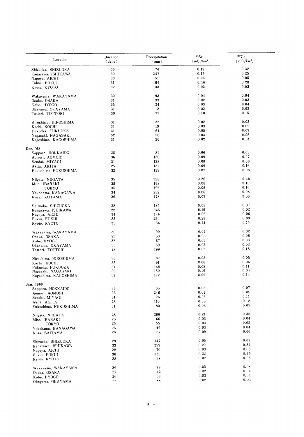| 0.32<br>74<br>0.19<br>36<br>Shizuoka, SHIZUOKA<br>0.25<br>247<br>0.16<br>30<br>Kanazawa, ISHIKAWA<br>0.05<br>33<br>0.05<br>51<br>Nagoya, AICHI<br>0.28<br>0.16<br>31<br>164<br>Fukui, FUKUI<br>0.03<br>0.02<br>32<br>33<br>Kyoto, KYOTO<br>0.04<br>30<br>93<br>0.04<br>Wakayama, WAKAYAMA<br>0.03<br>33<br>0.02<br>31<br>Osaka, OSAKA<br>0.04<br>24<br>0.03<br>35<br>Kobe, HYOGO<br>0.02<br>31<br>12<br>0.02<br>Okayama, OKAYAMA<br>77<br>0.10<br>0.15<br>30<br>Tottori, TOTTORI<br>0.02<br>0.02<br>33<br>Hiroshima, HIROSHIMA<br>31<br>0.02<br>19<br>0.03<br>31<br>Kochi, KOCHI<br>0.07<br>31<br>64<br>0.05<br>Fukuoka, FUKUOKA<br>32<br>0.04<br>0.05<br>56<br>Nagasaki, NAGASAKI<br>0.13<br>31<br>26<br>0.02<br>Kagoshima, KAGOSHIMA<br>Dec. '68<br>0.08<br>28<br>81<br>0.06<br>Sapporo, HOKKAIDO<br>0.07<br>0.09<br>36<br>130<br>Aomori, AOMORI<br>0.08<br>31<br>138<br>0.08<br>Sendai, MIYAGI<br>25<br>0.09<br>0.16<br>131<br>Akita, AKITA<br>0.08<br>32<br>139<br>0.07<br>Fukushima, FUKUSHIMA<br>0.26<br>0.40<br>228<br>35<br>Niigata, NIIGATA<br>0.10<br>0.06<br>35<br>193<br>Mito, IBARAKI<br>0.10<br>0.06<br>35<br>196<br><b>TOKYO</b><br>0.08<br>0.06<br>34<br>232<br>Yokohama, KANAGAWA<br>0.08<br>178<br>0.07<br>36<br>Niiza, SAITAMA<br>0.07<br>0.05<br>28<br>185<br>Shizuoka, SHIZUOKA<br>0.02<br>0.19<br>28<br>246<br>Kanazawa, ISHIKAWA<br>0.06<br>34<br>124<br>0.05<br>Nagoya, AICHI<br>0.39<br>32<br>264<br>0.29<br>Fukui, FUKUI<br>0.15<br>0.14<br>35<br>64<br>Kyoto, KYOTO<br>0.02<br>90<br>0.01<br>30<br>Wakayama, WAKAYAMA<br>0.06<br>0.03<br>53<br>35<br>Osaka, OSAKA<br>0.03<br>0.03<br>33<br>67<br>Kobe, HYOGO<br>0.03<br>0.03<br>59<br>35<br>Okayama, OKAYAMA<br>0.18<br>0.03<br>28<br>199<br>Tottori, TOTTORI<br>0.03<br>0.05<br>28<br>87<br>Hiroshima, HIROSHIMA<br>0.06<br>0.06<br>91<br>35<br>Kochi, KOCHI<br>0.08<br>0.11<br>31<br>148<br>Fukuoka, FUKUOKA<br>0.04<br>0.10<br>30<br>150<br>Nagasaki, NAGASAKI<br>0.09<br>0.13<br>37<br>172<br>Kagoshima. KAGOSHIMA<br>0.07<br>0.05<br>36<br>65<br>Sapporo, HOKKAIDO<br>0.05<br>0.01<br>246<br>25<br>Aomori, AOMORI<br>0.11<br>26<br>0.03<br>31<br>Sendai, MIYAGI<br>0.12<br>0.08<br>28<br>110<br>Akita, AKITA<br>0.05<br>0.03<br>80<br>31<br>Fukushima, FUKUSHIMA<br>0.35<br>0.21<br>296<br>28<br>Niigata, NIIGATA<br>0.04<br>0.03<br>66<br>25<br>Mito, IBARAKI<br>0.05<br>0.03<br>25<br>55<br>TOKYO<br>0.04<br>0.03<br>49<br>25<br>Yokohama, KANAGAWA<br>0.06<br>0.09<br>67<br>26<br>Niiza, SAITAMA<br>0.09<br>0.05<br>29<br>147<br>Shizuoka, SHIZUOKA<br>0.34<br>0.27<br>259<br>33<br>Kanazawa, ISHIKAWA<br>0.03<br>0.03<br>70<br>28<br>Nagoya, AICHI<br>0.45<br>0.32<br>30<br>336<br>Fukui, FUKUI<br>0.03<br>0.02<br>68<br>28<br>Kyoto, KYOTO<br>0.05<br>0.08<br>79<br>36<br>Wakayama, WAKAYAMA<br>0,04<br>0.02<br>42<br>27<br>Osaka, OSAKA<br>0.03<br>0.04<br>39<br>26<br>Kobe, HYOGO<br>0.03<br>0.02<br>88<br>26<br>Okayama, OKAYAMA | Location  | Duration<br>(days) | Precipitation<br>(mm) | $^{90}$ Sr<br>$(mCi/km^2)$ | 137Cs<br>(mCi/km <sup>2</sup> ) |
|--------------------------------------------------------------------------------------------------------------------------------------------------------------------------------------------------------------------------------------------------------------------------------------------------------------------------------------------------------------------------------------------------------------------------------------------------------------------------------------------------------------------------------------------------------------------------------------------------------------------------------------------------------------------------------------------------------------------------------------------------------------------------------------------------------------------------------------------------------------------------------------------------------------------------------------------------------------------------------------------------------------------------------------------------------------------------------------------------------------------------------------------------------------------------------------------------------------------------------------------------------------------------------------------------------------------------------------------------------------------------------------------------------------------------------------------------------------------------------------------------------------------------------------------------------------------------------------------------------------------------------------------------------------------------------------------------------------------------------------------------------------------------------------------------------------------------------------------------------------------------------------------------------------------------------------------------------------------------------------------------------------------------------------------------------------------------------------------------------------------------------------------------------------------------------------------------------------------------------------------------------------------------------------------------------------------------------------------------------------------------------------------------------------------------------------------------------------------------------------------------------------------------------------------------------------------------------------------------------------------------------------------------------------------------------------------------------------------------------------------------------------------------------------------------------------------------------------------------------------------------------------------------------------------------|-----------|--------------------|-----------------------|----------------------------|---------------------------------|
|                                                                                                                                                                                                                                                                                                                                                                                                                                                                                                                                                                                                                                                                                                                                                                                                                                                                                                                                                                                                                                                                                                                                                                                                                                                                                                                                                                                                                                                                                                                                                                                                                                                                                                                                                                                                                                                                                                                                                                                                                                                                                                                                                                                                                                                                                                                                                                                                                                                                                                                                                                                                                                                                                                                                                                                                                                                                                                                          |           |                    |                       |                            |                                 |
|                                                                                                                                                                                                                                                                                                                                                                                                                                                                                                                                                                                                                                                                                                                                                                                                                                                                                                                                                                                                                                                                                                                                                                                                                                                                                                                                                                                                                                                                                                                                                                                                                                                                                                                                                                                                                                                                                                                                                                                                                                                                                                                                                                                                                                                                                                                                                                                                                                                                                                                                                                                                                                                                                                                                                                                                                                                                                                                          |           |                    |                       |                            |                                 |
|                                                                                                                                                                                                                                                                                                                                                                                                                                                                                                                                                                                                                                                                                                                                                                                                                                                                                                                                                                                                                                                                                                                                                                                                                                                                                                                                                                                                                                                                                                                                                                                                                                                                                                                                                                                                                                                                                                                                                                                                                                                                                                                                                                                                                                                                                                                                                                                                                                                                                                                                                                                                                                                                                                                                                                                                                                                                                                                          |           |                    |                       |                            |                                 |
|                                                                                                                                                                                                                                                                                                                                                                                                                                                                                                                                                                                                                                                                                                                                                                                                                                                                                                                                                                                                                                                                                                                                                                                                                                                                                                                                                                                                                                                                                                                                                                                                                                                                                                                                                                                                                                                                                                                                                                                                                                                                                                                                                                                                                                                                                                                                                                                                                                                                                                                                                                                                                                                                                                                                                                                                                                                                                                                          |           |                    |                       |                            |                                 |
|                                                                                                                                                                                                                                                                                                                                                                                                                                                                                                                                                                                                                                                                                                                                                                                                                                                                                                                                                                                                                                                                                                                                                                                                                                                                                                                                                                                                                                                                                                                                                                                                                                                                                                                                                                                                                                                                                                                                                                                                                                                                                                                                                                                                                                                                                                                                                                                                                                                                                                                                                                                                                                                                                                                                                                                                                                                                                                                          |           |                    |                       |                            |                                 |
|                                                                                                                                                                                                                                                                                                                                                                                                                                                                                                                                                                                                                                                                                                                                                                                                                                                                                                                                                                                                                                                                                                                                                                                                                                                                                                                                                                                                                                                                                                                                                                                                                                                                                                                                                                                                                                                                                                                                                                                                                                                                                                                                                                                                                                                                                                                                                                                                                                                                                                                                                                                                                                                                                                                                                                                                                                                                                                                          |           |                    |                       |                            |                                 |
|                                                                                                                                                                                                                                                                                                                                                                                                                                                                                                                                                                                                                                                                                                                                                                                                                                                                                                                                                                                                                                                                                                                                                                                                                                                                                                                                                                                                                                                                                                                                                                                                                                                                                                                                                                                                                                                                                                                                                                                                                                                                                                                                                                                                                                                                                                                                                                                                                                                                                                                                                                                                                                                                                                                                                                                                                                                                                                                          |           |                    |                       |                            |                                 |
|                                                                                                                                                                                                                                                                                                                                                                                                                                                                                                                                                                                                                                                                                                                                                                                                                                                                                                                                                                                                                                                                                                                                                                                                                                                                                                                                                                                                                                                                                                                                                                                                                                                                                                                                                                                                                                                                                                                                                                                                                                                                                                                                                                                                                                                                                                                                                                                                                                                                                                                                                                                                                                                                                                                                                                                                                                                                                                                          |           |                    |                       |                            |                                 |
|                                                                                                                                                                                                                                                                                                                                                                                                                                                                                                                                                                                                                                                                                                                                                                                                                                                                                                                                                                                                                                                                                                                                                                                                                                                                                                                                                                                                                                                                                                                                                                                                                                                                                                                                                                                                                                                                                                                                                                                                                                                                                                                                                                                                                                                                                                                                                                                                                                                                                                                                                                                                                                                                                                                                                                                                                                                                                                                          |           |                    |                       |                            |                                 |
|                                                                                                                                                                                                                                                                                                                                                                                                                                                                                                                                                                                                                                                                                                                                                                                                                                                                                                                                                                                                                                                                                                                                                                                                                                                                                                                                                                                                                                                                                                                                                                                                                                                                                                                                                                                                                                                                                                                                                                                                                                                                                                                                                                                                                                                                                                                                                                                                                                                                                                                                                                                                                                                                                                                                                                                                                                                                                                                          |           |                    |                       |                            |                                 |
|                                                                                                                                                                                                                                                                                                                                                                                                                                                                                                                                                                                                                                                                                                                                                                                                                                                                                                                                                                                                                                                                                                                                                                                                                                                                                                                                                                                                                                                                                                                                                                                                                                                                                                                                                                                                                                                                                                                                                                                                                                                                                                                                                                                                                                                                                                                                                                                                                                                                                                                                                                                                                                                                                                                                                                                                                                                                                                                          |           |                    |                       |                            |                                 |
|                                                                                                                                                                                                                                                                                                                                                                                                                                                                                                                                                                                                                                                                                                                                                                                                                                                                                                                                                                                                                                                                                                                                                                                                                                                                                                                                                                                                                                                                                                                                                                                                                                                                                                                                                                                                                                                                                                                                                                                                                                                                                                                                                                                                                                                                                                                                                                                                                                                                                                                                                                                                                                                                                                                                                                                                                                                                                                                          |           |                    |                       |                            |                                 |
|                                                                                                                                                                                                                                                                                                                                                                                                                                                                                                                                                                                                                                                                                                                                                                                                                                                                                                                                                                                                                                                                                                                                                                                                                                                                                                                                                                                                                                                                                                                                                                                                                                                                                                                                                                                                                                                                                                                                                                                                                                                                                                                                                                                                                                                                                                                                                                                                                                                                                                                                                                                                                                                                                                                                                                                                                                                                                                                          |           |                    |                       |                            |                                 |
|                                                                                                                                                                                                                                                                                                                                                                                                                                                                                                                                                                                                                                                                                                                                                                                                                                                                                                                                                                                                                                                                                                                                                                                                                                                                                                                                                                                                                                                                                                                                                                                                                                                                                                                                                                                                                                                                                                                                                                                                                                                                                                                                                                                                                                                                                                                                                                                                                                                                                                                                                                                                                                                                                                                                                                                                                                                                                                                          |           |                    |                       |                            |                                 |
|                                                                                                                                                                                                                                                                                                                                                                                                                                                                                                                                                                                                                                                                                                                                                                                                                                                                                                                                                                                                                                                                                                                                                                                                                                                                                                                                                                                                                                                                                                                                                                                                                                                                                                                                                                                                                                                                                                                                                                                                                                                                                                                                                                                                                                                                                                                                                                                                                                                                                                                                                                                                                                                                                                                                                                                                                                                                                                                          |           |                    |                       |                            |                                 |
|                                                                                                                                                                                                                                                                                                                                                                                                                                                                                                                                                                                                                                                                                                                                                                                                                                                                                                                                                                                                                                                                                                                                                                                                                                                                                                                                                                                                                                                                                                                                                                                                                                                                                                                                                                                                                                                                                                                                                                                                                                                                                                                                                                                                                                                                                                                                                                                                                                                                                                                                                                                                                                                                                                                                                                                                                                                                                                                          |           |                    |                       |                            |                                 |
|                                                                                                                                                                                                                                                                                                                                                                                                                                                                                                                                                                                                                                                                                                                                                                                                                                                                                                                                                                                                                                                                                                                                                                                                                                                                                                                                                                                                                                                                                                                                                                                                                                                                                                                                                                                                                                                                                                                                                                                                                                                                                                                                                                                                                                                                                                                                                                                                                                                                                                                                                                                                                                                                                                                                                                                                                                                                                                                          |           |                    |                       |                            |                                 |
|                                                                                                                                                                                                                                                                                                                                                                                                                                                                                                                                                                                                                                                                                                                                                                                                                                                                                                                                                                                                                                                                                                                                                                                                                                                                                                                                                                                                                                                                                                                                                                                                                                                                                                                                                                                                                                                                                                                                                                                                                                                                                                                                                                                                                                                                                                                                                                                                                                                                                                                                                                                                                                                                                                                                                                                                                                                                                                                          |           |                    |                       |                            |                                 |
|                                                                                                                                                                                                                                                                                                                                                                                                                                                                                                                                                                                                                                                                                                                                                                                                                                                                                                                                                                                                                                                                                                                                                                                                                                                                                                                                                                                                                                                                                                                                                                                                                                                                                                                                                                                                                                                                                                                                                                                                                                                                                                                                                                                                                                                                                                                                                                                                                                                                                                                                                                                                                                                                                                                                                                                                                                                                                                                          |           |                    |                       |                            |                                 |
|                                                                                                                                                                                                                                                                                                                                                                                                                                                                                                                                                                                                                                                                                                                                                                                                                                                                                                                                                                                                                                                                                                                                                                                                                                                                                                                                                                                                                                                                                                                                                                                                                                                                                                                                                                                                                                                                                                                                                                                                                                                                                                                                                                                                                                                                                                                                                                                                                                                                                                                                                                                                                                                                                                                                                                                                                                                                                                                          |           |                    |                       |                            |                                 |
|                                                                                                                                                                                                                                                                                                                                                                                                                                                                                                                                                                                                                                                                                                                                                                                                                                                                                                                                                                                                                                                                                                                                                                                                                                                                                                                                                                                                                                                                                                                                                                                                                                                                                                                                                                                                                                                                                                                                                                                                                                                                                                                                                                                                                                                                                                                                                                                                                                                                                                                                                                                                                                                                                                                                                                                                                                                                                                                          |           |                    |                       |                            |                                 |
|                                                                                                                                                                                                                                                                                                                                                                                                                                                                                                                                                                                                                                                                                                                                                                                                                                                                                                                                                                                                                                                                                                                                                                                                                                                                                                                                                                                                                                                                                                                                                                                                                                                                                                                                                                                                                                                                                                                                                                                                                                                                                                                                                                                                                                                                                                                                                                                                                                                                                                                                                                                                                                                                                                                                                                                                                                                                                                                          |           |                    |                       |                            |                                 |
|                                                                                                                                                                                                                                                                                                                                                                                                                                                                                                                                                                                                                                                                                                                                                                                                                                                                                                                                                                                                                                                                                                                                                                                                                                                                                                                                                                                                                                                                                                                                                                                                                                                                                                                                                                                                                                                                                                                                                                                                                                                                                                                                                                                                                                                                                                                                                                                                                                                                                                                                                                                                                                                                                                                                                                                                                                                                                                                          |           |                    |                       |                            |                                 |
|                                                                                                                                                                                                                                                                                                                                                                                                                                                                                                                                                                                                                                                                                                                                                                                                                                                                                                                                                                                                                                                                                                                                                                                                                                                                                                                                                                                                                                                                                                                                                                                                                                                                                                                                                                                                                                                                                                                                                                                                                                                                                                                                                                                                                                                                                                                                                                                                                                                                                                                                                                                                                                                                                                                                                                                                                                                                                                                          |           |                    |                       |                            |                                 |
|                                                                                                                                                                                                                                                                                                                                                                                                                                                                                                                                                                                                                                                                                                                                                                                                                                                                                                                                                                                                                                                                                                                                                                                                                                                                                                                                                                                                                                                                                                                                                                                                                                                                                                                                                                                                                                                                                                                                                                                                                                                                                                                                                                                                                                                                                                                                                                                                                                                                                                                                                                                                                                                                                                                                                                                                                                                                                                                          |           |                    |                       |                            |                                 |
|                                                                                                                                                                                                                                                                                                                                                                                                                                                                                                                                                                                                                                                                                                                                                                                                                                                                                                                                                                                                                                                                                                                                                                                                                                                                                                                                                                                                                                                                                                                                                                                                                                                                                                                                                                                                                                                                                                                                                                                                                                                                                                                                                                                                                                                                                                                                                                                                                                                                                                                                                                                                                                                                                                                                                                                                                                                                                                                          |           |                    |                       |                            |                                 |
|                                                                                                                                                                                                                                                                                                                                                                                                                                                                                                                                                                                                                                                                                                                                                                                                                                                                                                                                                                                                                                                                                                                                                                                                                                                                                                                                                                                                                                                                                                                                                                                                                                                                                                                                                                                                                                                                                                                                                                                                                                                                                                                                                                                                                                                                                                                                                                                                                                                                                                                                                                                                                                                                                                                                                                                                                                                                                                                          |           |                    |                       |                            |                                 |
|                                                                                                                                                                                                                                                                                                                                                                                                                                                                                                                                                                                                                                                                                                                                                                                                                                                                                                                                                                                                                                                                                                                                                                                                                                                                                                                                                                                                                                                                                                                                                                                                                                                                                                                                                                                                                                                                                                                                                                                                                                                                                                                                                                                                                                                                                                                                                                                                                                                                                                                                                                                                                                                                                                                                                                                                                                                                                                                          |           |                    |                       |                            |                                 |
|                                                                                                                                                                                                                                                                                                                                                                                                                                                                                                                                                                                                                                                                                                                                                                                                                                                                                                                                                                                                                                                                                                                                                                                                                                                                                                                                                                                                                                                                                                                                                                                                                                                                                                                                                                                                                                                                                                                                                                                                                                                                                                                                                                                                                                                                                                                                                                                                                                                                                                                                                                                                                                                                                                                                                                                                                                                                                                                          |           |                    |                       |                            |                                 |
|                                                                                                                                                                                                                                                                                                                                                                                                                                                                                                                                                                                                                                                                                                                                                                                                                                                                                                                                                                                                                                                                                                                                                                                                                                                                                                                                                                                                                                                                                                                                                                                                                                                                                                                                                                                                                                                                                                                                                                                                                                                                                                                                                                                                                                                                                                                                                                                                                                                                                                                                                                                                                                                                                                                                                                                                                                                                                                                          |           |                    |                       |                            |                                 |
|                                                                                                                                                                                                                                                                                                                                                                                                                                                                                                                                                                                                                                                                                                                                                                                                                                                                                                                                                                                                                                                                                                                                                                                                                                                                                                                                                                                                                                                                                                                                                                                                                                                                                                                                                                                                                                                                                                                                                                                                                                                                                                                                                                                                                                                                                                                                                                                                                                                                                                                                                                                                                                                                                                                                                                                                                                                                                                                          |           |                    |                       |                            |                                 |
|                                                                                                                                                                                                                                                                                                                                                                                                                                                                                                                                                                                                                                                                                                                                                                                                                                                                                                                                                                                                                                                                                                                                                                                                                                                                                                                                                                                                                                                                                                                                                                                                                                                                                                                                                                                                                                                                                                                                                                                                                                                                                                                                                                                                                                                                                                                                                                                                                                                                                                                                                                                                                                                                                                                                                                                                                                                                                                                          |           |                    |                       |                            |                                 |
|                                                                                                                                                                                                                                                                                                                                                                                                                                                                                                                                                                                                                                                                                                                                                                                                                                                                                                                                                                                                                                                                                                                                                                                                                                                                                                                                                                                                                                                                                                                                                                                                                                                                                                                                                                                                                                                                                                                                                                                                                                                                                                                                                                                                                                                                                                                                                                                                                                                                                                                                                                                                                                                                                                                                                                                                                                                                                                                          |           |                    |                       |                            |                                 |
|                                                                                                                                                                                                                                                                                                                                                                                                                                                                                                                                                                                                                                                                                                                                                                                                                                                                                                                                                                                                                                                                                                                                                                                                                                                                                                                                                                                                                                                                                                                                                                                                                                                                                                                                                                                                                                                                                                                                                                                                                                                                                                                                                                                                                                                                                                                                                                                                                                                                                                                                                                                                                                                                                                                                                                                                                                                                                                                          |           |                    |                       |                            |                                 |
|                                                                                                                                                                                                                                                                                                                                                                                                                                                                                                                                                                                                                                                                                                                                                                                                                                                                                                                                                                                                                                                                                                                                                                                                                                                                                                                                                                                                                                                                                                                                                                                                                                                                                                                                                                                                                                                                                                                                                                                                                                                                                                                                                                                                                                                                                                                                                                                                                                                                                                                                                                                                                                                                                                                                                                                                                                                                                                                          |           |                    |                       |                            |                                 |
|                                                                                                                                                                                                                                                                                                                                                                                                                                                                                                                                                                                                                                                                                                                                                                                                                                                                                                                                                                                                                                                                                                                                                                                                                                                                                                                                                                                                                                                                                                                                                                                                                                                                                                                                                                                                                                                                                                                                                                                                                                                                                                                                                                                                                                                                                                                                                                                                                                                                                                                                                                                                                                                                                                                                                                                                                                                                                                                          |           |                    |                       |                            |                                 |
|                                                                                                                                                                                                                                                                                                                                                                                                                                                                                                                                                                                                                                                                                                                                                                                                                                                                                                                                                                                                                                                                                                                                                                                                                                                                                                                                                                                                                                                                                                                                                                                                                                                                                                                                                                                                                                                                                                                                                                                                                                                                                                                                                                                                                                                                                                                                                                                                                                                                                                                                                                                                                                                                                                                                                                                                                                                                                                                          |           |                    |                       |                            |                                 |
|                                                                                                                                                                                                                                                                                                                                                                                                                                                                                                                                                                                                                                                                                                                                                                                                                                                                                                                                                                                                                                                                                                                                                                                                                                                                                                                                                                                                                                                                                                                                                                                                                                                                                                                                                                                                                                                                                                                                                                                                                                                                                                                                                                                                                                                                                                                                                                                                                                                                                                                                                                                                                                                                                                                                                                                                                                                                                                                          |           |                    |                       |                            |                                 |
|                                                                                                                                                                                                                                                                                                                                                                                                                                                                                                                                                                                                                                                                                                                                                                                                                                                                                                                                                                                                                                                                                                                                                                                                                                                                                                                                                                                                                                                                                                                                                                                                                                                                                                                                                                                                                                                                                                                                                                                                                                                                                                                                                                                                                                                                                                                                                                                                                                                                                                                                                                                                                                                                                                                                                                                                                                                                                                                          |           |                    |                       |                            |                                 |
|                                                                                                                                                                                                                                                                                                                                                                                                                                                                                                                                                                                                                                                                                                                                                                                                                                                                                                                                                                                                                                                                                                                                                                                                                                                                                                                                                                                                                                                                                                                                                                                                                                                                                                                                                                                                                                                                                                                                                                                                                                                                                                                                                                                                                                                                                                                                                                                                                                                                                                                                                                                                                                                                                                                                                                                                                                                                                                                          |           |                    |                       |                            |                                 |
|                                                                                                                                                                                                                                                                                                                                                                                                                                                                                                                                                                                                                                                                                                                                                                                                                                                                                                                                                                                                                                                                                                                                                                                                                                                                                                                                                                                                                                                                                                                                                                                                                                                                                                                                                                                                                                                                                                                                                                                                                                                                                                                                                                                                                                                                                                                                                                                                                                                                                                                                                                                                                                                                                                                                                                                                                                                                                                                          |           |                    |                       |                            |                                 |
|                                                                                                                                                                                                                                                                                                                                                                                                                                                                                                                                                                                                                                                                                                                                                                                                                                                                                                                                                                                                                                                                                                                                                                                                                                                                                                                                                                                                                                                                                                                                                                                                                                                                                                                                                                                                                                                                                                                                                                                                                                                                                                                                                                                                                                                                                                                                                                                                                                                                                                                                                                                                                                                                                                                                                                                                                                                                                                                          | Jan. 1969 |                    |                       |                            |                                 |
|                                                                                                                                                                                                                                                                                                                                                                                                                                                                                                                                                                                                                                                                                                                                                                                                                                                                                                                                                                                                                                                                                                                                                                                                                                                                                                                                                                                                                                                                                                                                                                                                                                                                                                                                                                                                                                                                                                                                                                                                                                                                                                                                                                                                                                                                                                                                                                                                                                                                                                                                                                                                                                                                                                                                                                                                                                                                                                                          |           |                    |                       |                            |                                 |
|                                                                                                                                                                                                                                                                                                                                                                                                                                                                                                                                                                                                                                                                                                                                                                                                                                                                                                                                                                                                                                                                                                                                                                                                                                                                                                                                                                                                                                                                                                                                                                                                                                                                                                                                                                                                                                                                                                                                                                                                                                                                                                                                                                                                                                                                                                                                                                                                                                                                                                                                                                                                                                                                                                                                                                                                                                                                                                                          |           |                    |                       |                            |                                 |
|                                                                                                                                                                                                                                                                                                                                                                                                                                                                                                                                                                                                                                                                                                                                                                                                                                                                                                                                                                                                                                                                                                                                                                                                                                                                                                                                                                                                                                                                                                                                                                                                                                                                                                                                                                                                                                                                                                                                                                                                                                                                                                                                                                                                                                                                                                                                                                                                                                                                                                                                                                                                                                                                                                                                                                                                                                                                                                                          |           |                    |                       |                            |                                 |
|                                                                                                                                                                                                                                                                                                                                                                                                                                                                                                                                                                                                                                                                                                                                                                                                                                                                                                                                                                                                                                                                                                                                                                                                                                                                                                                                                                                                                                                                                                                                                                                                                                                                                                                                                                                                                                                                                                                                                                                                                                                                                                                                                                                                                                                                                                                                                                                                                                                                                                                                                                                                                                                                                                                                                                                                                                                                                                                          |           |                    |                       |                            |                                 |
|                                                                                                                                                                                                                                                                                                                                                                                                                                                                                                                                                                                                                                                                                                                                                                                                                                                                                                                                                                                                                                                                                                                                                                                                                                                                                                                                                                                                                                                                                                                                                                                                                                                                                                                                                                                                                                                                                                                                                                                                                                                                                                                                                                                                                                                                                                                                                                                                                                                                                                                                                                                                                                                                                                                                                                                                                                                                                                                          |           |                    |                       |                            |                                 |
|                                                                                                                                                                                                                                                                                                                                                                                                                                                                                                                                                                                                                                                                                                                                                                                                                                                                                                                                                                                                                                                                                                                                                                                                                                                                                                                                                                                                                                                                                                                                                                                                                                                                                                                                                                                                                                                                                                                                                                                                                                                                                                                                                                                                                                                                                                                                                                                                                                                                                                                                                                                                                                                                                                                                                                                                                                                                                                                          |           |                    |                       |                            |                                 |
|                                                                                                                                                                                                                                                                                                                                                                                                                                                                                                                                                                                                                                                                                                                                                                                                                                                                                                                                                                                                                                                                                                                                                                                                                                                                                                                                                                                                                                                                                                                                                                                                                                                                                                                                                                                                                                                                                                                                                                                                                                                                                                                                                                                                                                                                                                                                                                                                                                                                                                                                                                                                                                                                                                                                                                                                                                                                                                                          |           |                    |                       |                            |                                 |
|                                                                                                                                                                                                                                                                                                                                                                                                                                                                                                                                                                                                                                                                                                                                                                                                                                                                                                                                                                                                                                                                                                                                                                                                                                                                                                                                                                                                                                                                                                                                                                                                                                                                                                                                                                                                                                                                                                                                                                                                                                                                                                                                                                                                                                                                                                                                                                                                                                                                                                                                                                                                                                                                                                                                                                                                                                                                                                                          |           |                    |                       |                            |                                 |
|                                                                                                                                                                                                                                                                                                                                                                                                                                                                                                                                                                                                                                                                                                                                                                                                                                                                                                                                                                                                                                                                                                                                                                                                                                                                                                                                                                                                                                                                                                                                                                                                                                                                                                                                                                                                                                                                                                                                                                                                                                                                                                                                                                                                                                                                                                                                                                                                                                                                                                                                                                                                                                                                                                                                                                                                                                                                                                                          |           |                    |                       |                            |                                 |
|                                                                                                                                                                                                                                                                                                                                                                                                                                                                                                                                                                                                                                                                                                                                                                                                                                                                                                                                                                                                                                                                                                                                                                                                                                                                                                                                                                                                                                                                                                                                                                                                                                                                                                                                                                                                                                                                                                                                                                                                                                                                                                                                                                                                                                                                                                                                                                                                                                                                                                                                                                                                                                                                                                                                                                                                                                                                                                                          |           |                    |                       |                            |                                 |
|                                                                                                                                                                                                                                                                                                                                                                                                                                                                                                                                                                                                                                                                                                                                                                                                                                                                                                                                                                                                                                                                                                                                                                                                                                                                                                                                                                                                                                                                                                                                                                                                                                                                                                                                                                                                                                                                                                                                                                                                                                                                                                                                                                                                                                                                                                                                                                                                                                                                                                                                                                                                                                                                                                                                                                                                                                                                                                                          |           |                    |                       |                            |                                 |
|                                                                                                                                                                                                                                                                                                                                                                                                                                                                                                                                                                                                                                                                                                                                                                                                                                                                                                                                                                                                                                                                                                                                                                                                                                                                                                                                                                                                                                                                                                                                                                                                                                                                                                                                                                                                                                                                                                                                                                                                                                                                                                                                                                                                                                                                                                                                                                                                                                                                                                                                                                                                                                                                                                                                                                                                                                                                                                                          |           |                    |                       |                            |                                 |
|                                                                                                                                                                                                                                                                                                                                                                                                                                                                                                                                                                                                                                                                                                                                                                                                                                                                                                                                                                                                                                                                                                                                                                                                                                                                                                                                                                                                                                                                                                                                                                                                                                                                                                                                                                                                                                                                                                                                                                                                                                                                                                                                                                                                                                                                                                                                                                                                                                                                                                                                                                                                                                                                                                                                                                                                                                                                                                                          |           |                    |                       |                            |                                 |
|                                                                                                                                                                                                                                                                                                                                                                                                                                                                                                                                                                                                                                                                                                                                                                                                                                                                                                                                                                                                                                                                                                                                                                                                                                                                                                                                                                                                                                                                                                                                                                                                                                                                                                                                                                                                                                                                                                                                                                                                                                                                                                                                                                                                                                                                                                                                                                                                                                                                                                                                                                                                                                                                                                                                                                                                                                                                                                                          |           |                    |                       |                            |                                 |
|                                                                                                                                                                                                                                                                                                                                                                                                                                                                                                                                                                                                                                                                                                                                                                                                                                                                                                                                                                                                                                                                                                                                                                                                                                                                                                                                                                                                                                                                                                                                                                                                                                                                                                                                                                                                                                                                                                                                                                                                                                                                                                                                                                                                                                                                                                                                                                                                                                                                                                                                                                                                                                                                                                                                                                                                                                                                                                                          |           |                    |                       |                            |                                 |
|                                                                                                                                                                                                                                                                                                                                                                                                                                                                                                                                                                                                                                                                                                                                                                                                                                                                                                                                                                                                                                                                                                                                                                                                                                                                                                                                                                                                                                                                                                                                                                                                                                                                                                                                                                                                                                                                                                                                                                                                                                                                                                                                                                                                                                                                                                                                                                                                                                                                                                                                                                                                                                                                                                                                                                                                                                                                                                                          |           |                    |                       |                            |                                 |
|                                                                                                                                                                                                                                                                                                                                                                                                                                                                                                                                                                                                                                                                                                                                                                                                                                                                                                                                                                                                                                                                                                                                                                                                                                                                                                                                                                                                                                                                                                                                                                                                                                                                                                                                                                                                                                                                                                                                                                                                                                                                                                                                                                                                                                                                                                                                                                                                                                                                                                                                                                                                                                                                                                                                                                                                                                                                                                                          |           |                    |                       |                            |                                 |
|                                                                                                                                                                                                                                                                                                                                                                                                                                                                                                                                                                                                                                                                                                                                                                                                                                                                                                                                                                                                                                                                                                                                                                                                                                                                                                                                                                                                                                                                                                                                                                                                                                                                                                                                                                                                                                                                                                                                                                                                                                                                                                                                                                                                                                                                                                                                                                                                                                                                                                                                                                                                                                                                                                                                                                                                                                                                                                                          |           |                    |                       |                            |                                 |
|                                                                                                                                                                                                                                                                                                                                                                                                                                                                                                                                                                                                                                                                                                                                                                                                                                                                                                                                                                                                                                                                                                                                                                                                                                                                                                                                                                                                                                                                                                                                                                                                                                                                                                                                                                                                                                                                                                                                                                                                                                                                                                                                                                                                                                                                                                                                                                                                                                                                                                                                                                                                                                                                                                                                                                                                                                                                                                                          |           |                    |                       |                            |                                 |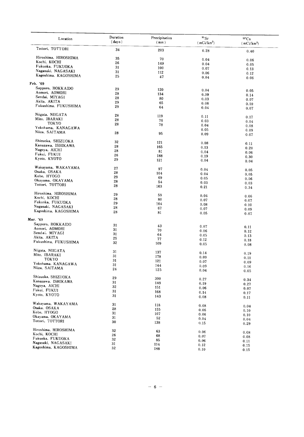| Location                      | Duration<br>(days) | Precipitation<br>(mm) | $^{90}\rm{Sr}$<br>(mCi/km <sup>2</sup> ) | $^{137}\mathrm{Cs}$<br>(mCi/km <sup>2</sup> ) |
|-------------------------------|--------------------|-----------------------|------------------------------------------|-----------------------------------------------|
| Tottori, TOTTORI              | 34                 | 203                   | 0.28                                     | 0.40                                          |
| Hiroshima, HIROSHIMA          | 35                 | 70                    | 0.04                                     |                                               |
| Kochi, KOCHI                  | 26                 | 149                   | 0.04                                     | 0.06                                          |
| Fukuoka, FUKUOKA              | 31                 | 100                   |                                          | 0.05                                          |
| Nagasaki, NAGASAKI            | 31                 |                       | 0.07                                     | 0.13                                          |
| Kagoshima, KAGOSHIMA          | 25                 | 112                   | 0.06                                     | 0.12                                          |
|                               |                    | 47                    | 0.04                                     | 0.06                                          |
| Feb. '69<br>Sapporo, HOKKAIDO |                    |                       |                                          |                                               |
|                               | 29                 | 120                   | 0.04                                     | 0.05                                          |
| Aomori, AOMORI                | 28                 | 134                   | 0.09                                     | 0.14                                          |
| Sendai, MIYAGI                | 28                 | 80                    | 0.03                                     | 0.07                                          |
| Akita. AKITA                  | 29                 | 65                    | 0.06                                     | 0.10                                          |
| Fukushima, FUKUSHIMA          | 29                 | 64                    | 0.04                                     | 0.07                                          |
| Niigata, NIIGATA              | 28                 | 119                   | 0.11                                     | 0.17                                          |
| Mito, IBARAKI                 | 28                 | 76                    | 0.03                                     |                                               |
| TOKYO                         | 28                 | 78                    |                                          | 0.04                                          |
| Yokohama, KANAGAWA            |                    |                       | 0.04<br>0.05                             | 0.08                                          |
| Niiza, SAITAMA                | 28                 | 95                    | 0.09                                     | 0.09                                          |
|                               |                    |                       |                                          | 0.07                                          |
| Shizuoka, SHIZUOKA            | 32                 | 121                   | 0.08                                     | 0.11                                          |
| Kanazawa, ISHIKAWA            | 28                 | 165                   | 0.13                                     | 0.20                                          |
| Nagoya, AICHI                 | 28                 | 81                    | 0.04                                     | 0.06                                          |
| Fukui, FUKUI                  | 26                 | 188                   | 0.19                                     | 0.30                                          |
| Kyoto, KYOTO                  | 29                 | 121                   | 0.04                                     | 0.04                                          |
| Wakayama, WAKAYAMA            | 27                 | 97                    |                                          |                                               |
| Osaka, OSAKA                  | 28                 | 104                   | 0.04                                     | 0.05                                          |
| Kobe, HYOGO                   | 29                 |                       | 0.04                                     | 0.05                                          |
| Okayama, OKAYAMA              | 28                 | 69                    | 0.05                                     | 0.06                                          |
| Tottori, TOTTORI              | 28                 | 54                    | 0.03                                     | 0.03                                          |
|                               |                    | 163                   | 0.21                                     | 0.34                                          |
| Hiroshima, HIROSHIMA          | 29                 | 59                    | 0.04                                     | 0.06                                          |
| Kochi, KOCHI                  | 28                 | 80                    | 0.07                                     | 0.07                                          |
| Fukuoka, FUKUOKA              | 29                 | 104                   | 0.08                                     | 0.10                                          |
| Nagasaki, NAGASAKI            | 28                 | 67                    | 0.07                                     | 0.09                                          |
| Kagoshima, KAGOSHIMA          | 28                 | 81                    | 0.05                                     | 0.07                                          |
| Mar. '69                      |                    |                       |                                          |                                               |
| Sapporo, HOKKAIDO             | 31                 |                       |                                          |                                               |
| Aomori, AOMORI                | 31                 | 43                    | 0.07                                     | 0.11                                          |
| Sendai, MIYAGI                | 31                 | 70                    | 0.06                                     | 0.12                                          |
| Akita, AKITA                  | 25                 | 64                    | 0.05                                     | 0.13                                          |
| Fukushima, FUKUSHIMA          | 32                 | 77                    | 0.12                                     | 0.18                                          |
|                               |                    | 109                   | 0.05                                     | 0.08                                          |
| Niigata, NHGATA               | 31                 | 137                   | 0.14                                     | 0.19                                          |
| Mito, IBARAKI                 | 31                 | 178                   | 0.09                                     | 0.11                                          |
| TOKYO                         | 31                 | 121                   | 0.07                                     | 0.09                                          |
| Yokohama, KANAGAWA            | 31                 | 144                   | 0.09                                     | 0.16                                          |
| Niiza, SAITAMA                | 24                 | 125                   | 0.04                                     | 0.05                                          |
| Shizuoka, SHIZUOKA            | 29                 | 300                   |                                          |                                               |
| Kanazawa, ISHIKAWA            | 31                 |                       | 0.27                                     | 0.34                                          |
| Nagoya, AICHI                 | 32                 | 149                   | 0.19                                     | 0.27                                          |
| Fukui, FUKUI                  | 31                 | 151                   | 0.06                                     | 0.07                                          |
| Kyoto, KYOTO                  | 31                 | 168                   | 0.14                                     | 0.17                                          |
|                               |                    | 143                   | 0.08                                     | 0.11                                          |
| Wakayama, WAKAYAMA            | 31                 | 118                   | 0.08                                     | 0.04                                          |
| Osaka, OSAKA                  | 28                 | 155                   | 0.06                                     | 0.10                                          |
| Kobe, HYOGO                   | 31                 | 107                   | 0.06                                     |                                               |
| Okayama, OKAYAMA              | 31                 | 52                    | 0.04                                     | 0.10                                          |
| Tottori, TOTTORI              | 30                 | 138                   | 0.15                                     | 0.04<br>0.29                                  |
| Hiroshima, HIROSHIMA          | 32                 |                       |                                          |                                               |
| Kochi, KOCHI                  |                    | 63                    | 0.06                                     | 0.08                                          |
| Fukuoka, FUKUOKA              | 26                 | 68                    | 0.07                                     | 0.08                                          |
| Nagasaki, NAGASAKI            | 32                 | 85                    | 0.06                                     | 0.11                                          |
| Kagoshima, KAGOSHIMA          | 31                 | 114                   | 0.12                                     | 0.15                                          |
|                               | 32                 | 188                   | 0.10                                     | 0.15                                          |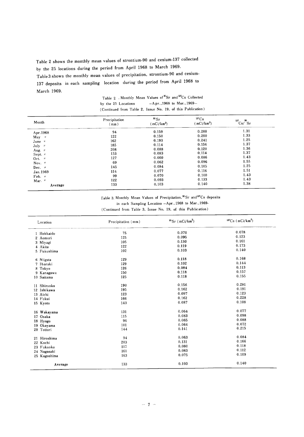Table 2 shows the monthly mean values of strontium-90 and cesium-137 collected by the 25 locations during the period from April 1968 to March 1969.

Table 3 shows the monthly mean values of precipitation, strontium-90 and cesium-137 deposits in each sampling location during the period from April 1968 to March 1969.

Table 2 . Monthly Mean Values of  $\mathrm{^{99}Sr}$  and  $\mathrm{^{137}Cs}$  Collected by the  $25$  Locations  $-Apr.,1968$  to Mar.,  $1969-$ (Continued from Table 2, Issue No. 19, of this Publication)

| Month              | Precipitation<br>(mm) |       | $\mathrm{^{90}Sr}$<br>(mCi/km <sup>2</sup> ) |      | ${}^{137}Cs$<br>$(mCi/km^2)$ | $\int^7$ Cs/ $\int^8$ Sr<br>137 |
|--------------------|-----------------------|-------|----------------------------------------------|------|------------------------------|---------------------------------|
| Apr. 1968          | 94                    | 0.159 | 0.208                                        | 1.31 |                              |                                 |
| $May$ "            | 122                   | 0.150 | 0.200                                        | 1.33 |                              |                                 |
| June "             | 162                   | 0.193 | 0.241                                        | 1.25 |                              |                                 |
| July $\#$          | 185                   | 0.114 | 0.156                                        | 1.37 |                              |                                 |
| Aug. $\pi$         | 208                   | 0.088 | 0.120                                        | 1.36 |                              |                                 |
| Sept. $n$          | 153                   | 0.083 | 0.114                                        | 1.37 |                              |                                 |
| Oct. $\#$          | 127                   | 0.060 | 0.086                                        | 1.43 |                              |                                 |
| Nov. $\frac{1}{2}$ | 69                    | 0.062 | 0.096                                        | 1.55 |                              |                                 |
| Dec. $\mu$         | 145                   | 0.084 | 0.105                                        | 1.25 |                              |                                 |
| Jan. 1969          | 114                   | 0.077 | 0.116                                        | 1.51 |                              |                                 |
| Feb. "             | 99                    | 0.070 | 0.100                                        | 1.43 |                              |                                 |
| Mar. "             | 122                   | 0.093 | 0.133                                        | 1.43 |                              |                                 |
| Average            | 133                   | 0.103 | 0.140                                        | 1.38 |                              |                                 |

Table 3. Monthly Mean Values of Precipitation, 90Sr and<sup>137</sup>Cs deposits

in each Sampling Location -Apr., 1968 to Mar., 1969-

(Continued from Table 3, Issue No. 19, of this Publication)

| Location     | Precipitation (mm) | $^{90}$ Sr (mCi/km <sup>2</sup> ) | $^{137}Cs$ (mCi/km <sup>2</sup> ) |
|--------------|--------------------|-----------------------------------|-----------------------------------|
| 1 Hokkaido   | 75                 | 0.070                             | 0.078                             |
| 2 Aomori     | 125                | 0.095                             | 0.123                             |
| 3 Miyagi     | 105                | 0.130                             | 0.161                             |
| 4 Akita      | 122                | 0.119                             | 0.173                             |
| 5 Fukushima  | 102                | 0.103                             | 0.140                             |
| 6 Niigata    | 129                | 0.118                             | 0.168                             |
| 7 Ibaraki    | 129                | 0.102                             | 0.144                             |
| 8 Tokyo      | 126                | 0.084                             | 0.113                             |
| 9 Kanagawa   | 150                | 0.118                             | 0.157                             |
| 10 Saitama   | 125                | 0.118                             | 0.155                             |
| 11 Shizuoka  | 190                | 0.156                             | 0.281                             |
| 12 Ishikawa  | 195                | 0.162                             | 0.191                             |
| 13 Aichi     | 123                | 0.097                             | 0.123                             |
| 14 Fukui     | 166                | 0.162                             | 0.228                             |
| 15 Kyoto     | 143                | 0.087                             | 0.108                             |
| 16 Wakayama  | 131                | 0.064                             | 0.077                             |
| 17 Osaka     | 115                | 0.083                             | 0.098                             |
| 18 Hyogo     | 96                 | 0.065                             | 0.088                             |
| 19 Okayama   | 101                | 0.064                             | 0.072                             |
| 20 Tottori   | 144                | 0.141                             | 0.215                             |
| 21 Hiroshima | 94                 | 0.063                             | 0.084                             |
| 22 Kochi     | 203                | 0.131                             | 0.166                             |
| 23 Fukuoka   | 117                | 0.080                             | 0.118                             |
| 24 Nagasaki  | 161                | 0.083                             | 0.112                             |
| 25 Kagoshima | 163                | 0.075                             | 0.109                             |
| Average      | 133                | 0.103                             | 0.140                             |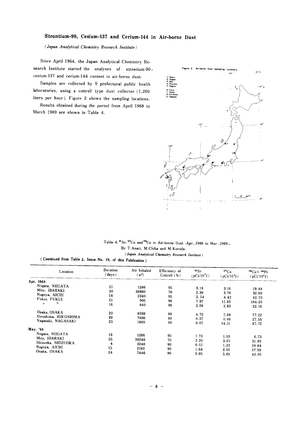#### Strontium-90, Cesium-137 and Cerium-144 in Air-borne Dust

(Japan Analytical Chemistry Research Institute)

Since April 1964, the Japan Analytical Chemistry Research Institute started the analyses of strontium-90, cesium-137 and cerium-144 content in air-borne dust.

Samples are collected by 9 prefectural public health laboratories, using a cottrell type dust collector (1,200 liters per hour). Figure 2 shows the sampling locations.

Results obtained during the period from April 1968 to March 1969 are shown in Table 4.



#### Table 4.  $\mathrm{^{80}Sr}$ ,  $\mathrm{^{137}Cs}$  and  $\mathrm{^{144}Ce}$  in Air-borne Dust -Apr., 1968 to Mar., 1969-By T. Asari, M. Chiba and M. Kuroda

(Japan Analytical Chemistry Research Institute)

(Continued from Table 4, Issue No. 19, of this Publication)

| Location             | Duration<br>(days) | Air Inhaled<br>(m <sup>2</sup> ) | Efficiency of<br>Cottrell $(\% )$ | ${}^{\circ}Sr$<br>$(pCi/10^{6}l)$ | ${}^{137}Cs$<br>(pCi/10 <sup>6</sup> l) | $^{144}Ce + ^{144}Pr$<br>(pCi/10 <sup>6</sup> l) |
|----------------------|--------------------|----------------------------------|-----------------------------------|-----------------------------------|-----------------------------------------|--------------------------------------------------|
| 1968<br>Apr.         |                    |                                  |                                   |                                   |                                         |                                                  |
| Niigata, NIIGATA     | 21                 | 1286                             | 95                                | 3.18                              |                                         |                                                  |
| Mito, IBARAKI        | 30                 | 38880                            | 70                                |                                   | 3.16                                    | 19.48                                            |
| Nagoya, AICHI        | 18                 |                                  |                                   | 2.38                              | 3.78                                    | 32.69                                            |
| Fukui, FUKUI         |                    | 2340                             | 95                                | 2.54                              | 4.42                                    | 42.70                                            |
| $^{\prime\prime}$    | 21                 | 900                              | 96                                | 7.97                              | 11.83                                   | 104.20                                           |
| $\boldsymbol{\eta}$  | 16                 | 840                              | 96                                | 2.08                              | 2.83                                    | 22.16                                            |
| Osaka, OSAKA         | 20                 | 8298                             | 90                                | 4.75                              | 7.69                                    |                                                  |
| Hiroshima, HIROSHIMA | 28                 | 7800                             | 80                                | 0.37                              |                                         | 77.22                                            |
| Nagasaki, NAGASAKI   | 23                 | 1800                             | 90                                |                                   | 0.46                                    | 27.55                                            |
|                      |                    |                                  |                                   | 8.07                              | 14.51                                   | 87.72                                            |
| May. '68             |                    |                                  |                                   |                                   |                                         |                                                  |
| Niigata, NIIGATA     | 13                 | 1286                             | 95                                | 1.73                              | 1.03                                    | 6.73                                             |
| Mito, IBARAKI        | 25                 | 30240                            | 70                                | 2.20                              |                                         |                                                  |
| Shizuoka, SHIZUOKA   | 4                  | 3240                             |                                   |                                   | 3.25                                    | 31.89                                            |
| Nagoya, AICHI        | 15                 |                                  | 90                                | 0.57                              | 1.23                                    | 10.64                                            |
| Osaka, OSAKA         |                    | 2160                             | 95                                | 1.64                              | 2.01                                    | 17.59                                            |
|                      | 24                 | 7446                             | 90                                | 2.85                              | 5.65                                    | 42.05                                            |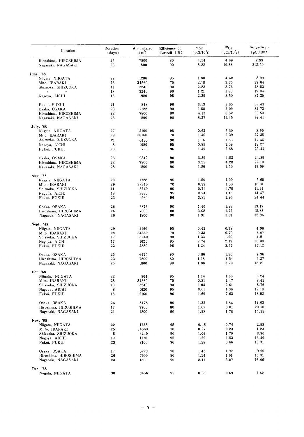| Location                                   | Duration<br>(days) | Air Inhaled<br>$(m^2)$ | Efficiency of<br>Cottrell $(% )$ | 90Sr<br>(pCi/10 <sup>6</sup> l) | ${}^{137}Cs$<br>(pCi/10 <sup>6</sup> l) | <sup>144</sup> Cet <sup>144</sup> Pr<br>(pCi/10 <sup>6</sup> l) |
|--------------------------------------------|--------------------|------------------------|----------------------------------|---------------------------------|-----------------------------------------|-----------------------------------------------------------------|
| Hirnshima, HIROSHIMA<br>Nagasaki, NAGASAKI | 25<br>23           | 7800<br>1800           | 80<br>90                         | 4.54<br>6.22                    | 4.69<br>10.36                           | 2.99<br>212.50                                                  |
| June. '68                                  |                    |                        |                                  |                                 |                                         |                                                                 |
| Niigata, NIIGATA                           | 22                 | 1286                   | 95                               | 1.80                            | 4.48                                    | 8.99                                                            |
| Mito, IBARAKI                              | 25                 | 34560                  | 70                               | 2.18                            | 3.75                                    | 37.64                                                           |
| Shizuoka, SHIZUOKA                         | 11                 | 3240                   | 90                               | 2.23                            | 3.76                                    | 28.53                                                           |
| $^{\prime\prime}$<br>$\boldsymbol{\eta}$   | 18                 | 3240                   | 90                               | 1.21                            | 1.80                                    | 19.84                                                           |
| Nagoya, AICHI                              | 18                 | 1980                   | 95                               | 2.39                            | 3.50                                    | 37.25                                                           |
| Fukui, FUKUI                               | 21                 | 848                    | 96                               | 3.13                            | 3.65                                    | 38.43                                                           |
| Osaka, OSAKA                               | 23                 | 7122                   | 90                               | 1.58                            | 2.09                                    | 32.73                                                           |
| Hiroshima. HIROSHIMA                       | 22                 | 7800                   | 80                               | 4.13                            | 0.52                                    | 23.53                                                           |
| Nagasaki, NAGASAKI                         | 25                 | 1800                   | 90                               | 8.27                            | 11.45                                   | 92.41                                                           |
| July. '68                                  |                    |                        |                                  |                                 |                                         |                                                                 |
| Niigata, NIIGATA                           | 27                 | 2160                   | 95                               | 0.62                            | 5.30                                    | 8.90                                                            |
| Mito, IBARAKI                              | 29                 | 38160                  | 70                               | 1.46                            | 2.39                                    | 27.35                                                           |
| Shizuoka, SHIZUOKA                         | 21                 | 6480                   | 90                               | 1.16                            | 1.83                                    | 17.45                                                           |
| Nagoya, AICHI                              | 8                  | 1080                   | 95                               | 0.85                            | 1.09                                    | 18.27                                                           |
| Fukui, FUKUI                               | 23                 | 720                    | 96                               | 1.49                            | 2.68                                    | 29.44                                                           |
|                                            |                    |                        |                                  |                                 |                                         |                                                                 |
| Osaka, OSAKA                               | 26                 | 9342                   | 90                               | 3.29                            | 4.83                                    | 24.39                                                           |
| Hiroshima, HIROSHIMA                       | 32                 | 7800                   | 80                               | 3.25                            | 4.28                                    | 22.10                                                           |
| Nagasaki, NAGASAKI                         | 28                 | 1800                   | 90                               | 1.89                            | 1.50                                    | 19.09                                                           |
| Aug. '68                                   |                    |                        |                                  |                                 |                                         |                                                                 |
| Niigata, NIIGATA                           | 23                 | 1728                   | 95                               | 1.50                            | 1.00                                    | 5.65                                                            |
| Mito. IBARAKI                              | 29                 | 38340                  | 70                               | 0.99                            | 1.50                                    | 16.31                                                           |
| Shizuoka, SHIZUOKA                         | 11                 | 3240                   | 90                               | 0.71                            | 4.70                                    | 11.61                                                           |
| Nagoya, AICHI                              | 19                 | 2880                   | 95                               | 0.74                            | 1.15                                    | 14.47                                                           |
| Fukui, FUKUI                               | 23                 | 960                    | 96                               | 3.81                            | 1.94                                    | 24.44                                                           |
| Osaka, OSAKA                               | 26                 | 6876                   | 90                               | 1.40                            | 1.83                                    | 13.17                                                           |
| Hiroshima, HIROSHIMA                       | 26                 | 7800                   | 80                               | 3.08                            | 1.72                                    | 18.86                                                           |
| Nagasaki, NAGASAKI                         | 26                 | 1800                   | 90                               | 1.91                            | 3.01                                    | 32.94                                                           |
| <b>Sept.</b> '68                           |                    |                        |                                  |                                 |                                         |                                                                 |
| Niigata, NIIGATA                           | 29                 | 2160                   | 95                               | 0.42                            | 0.78                                    | 4.98                                                            |
| Mito, IBARAKI                              | 28                 | 34560                  | 70                               | 0.33                            | 0.79                                    | 6.07                                                            |
| Shizuoka, SHIZUOKA                         | 12                 | 3240                   | 90                               | 1.33                            | 1.90                                    | 4.91                                                            |
| Nagoya, AICHI                              | 17                 | 1620                   | 95                               | 2.74                            | 2.19                                    | 36.08                                                           |
| Fukui, FUKUI                               | 22                 | 2880                   | 96                               | 1.24                            | 3.57                                    | 47.12                                                           |
| Osaka, OSAKA                               | 25                 | 6475                   | 90                               | 0.86                            | 1.20                                    | 7.96                                                            |
| Hiroshima, HIROSHIMA                       | 23                 | 7800                   | 80                               | 1.18                            | 4.54                                    | 9.27                                                            |
| Nagasaki, NAGASAKI                         | 25                 | 1800                   | 90                               | 1.88                            | 3.70                                    | 18.21                                                           |
| Oct. '68                                   |                    |                        |                                  |                                 |                                         |                                                                 |
| Niigata, NIIGATA                           | 22                 | 864                    | 95                               | 1.14                            | 1.60                                    | 5.24                                                            |
| Mito, IBARAKI                              | 28                 | 34360                  | 70                               | 0.31                            | 1.47                                    | 2.42                                                            |
| Shizuoka, SHIZUOKA                         | 13                 | 3240                   | 90                               | 1.04                            | 2.61                                    | 6.76                                                            |
| Nagoya, AICHI                              | 8                  | 1620                   | 95                               | 0.61                            | 1.36                                    | 12.18                                                           |
| Fukui, FUKUI                               | 18                 | 2160                   | 96                               | 1.69                            | 7.63                                    | 18.52                                                           |
| Osaka, OSAKA                               | 24                 | 5478                   | 90                               | 1.32                            | 1.84                                    | 12.03                                                           |
| Hiroshima, HIROSHIMA                       | 17                 | 7700                   | 80                               | 1.67                            | 3.01                                    | 20.50                                                           |
| Nagasaki, NAGASAKI                         | 21                 | 1800                   | 90                               | 1.98                            | 1.78                                    | 14.35                                                           |
|                                            |                    |                        |                                  |                                 |                                         |                                                                 |
| Nov. '68<br>Niigata, NIIGATA               | 22                 | 1728                   | 95                               | 0.46                            | 0.74                                    | 2.93                                                            |
| Mito, IBARAKI                              | 25                 | 34560                  | 70                               | 0.27                            | 0.23                                    | 1.23                                                            |
| Shizuoka, SHIZUOKA                         | 5                  | 3240                   | 90                               | 1.06                            | 1.70                                    | 3.90                                                            |
| Nagoya, AICHI                              | 10                 | 1170                   | 95                               | 1.29                            | 1.53                                    | 13.49                                                           |
| Fukui, FUKUI                               | 23                 | 2160                   | 96                               | 1.28                            | 3.66                                    | 10.31                                                           |
| Osaka, OSAKA                               | 17                 | 8229                   | 90                               | 1.48                            | 1.92                                    | 9.00                                                            |
| Hiroshima, HIROSHIMA                       | 26                 | 7600                   | 80                               | 1.24                            | 1.61                                    | 15.31                                                           |
| Nagasaki, NAGASAKI                         | 23                 | 1800                   | 90                               | 2.17                            | 3.07                                    | 16.06                                                           |
|                                            |                    |                        |                                  |                                 |                                         |                                                                 |
| Dec. '68                                   |                    |                        |                                  |                                 |                                         |                                                                 |
| Niigata, NIIGATA                           | 30                 | 3456                   | 95                               | 0.36                            | 0.69                                    | 1.62                                                            |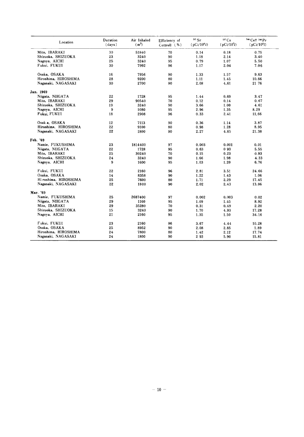| Location              | Duration<br>(days) | Air Inhaled<br>(m <sup>2</sup> ) | Efficiency of<br>Cottrell $(%$ | 90 Sr<br>(pCi/10 <sup>6</sup> l) | 137 Cs<br>$(pCi/10^6l)$ | <sup>144</sup> Ce† <sup>144</sup> Pr<br>(pCi/10 <sup>6</sup> l) |
|-----------------------|--------------------|----------------------------------|--------------------------------|----------------------------------|-------------------------|-----------------------------------------------------------------|
| Mito, IBARAKI         | 30                 | 51840                            | 70                             | 0.14                             | 0.18                    | 0.75                                                            |
| Shizuoka, SHIZUOKA    | 23                 | 3240                             | 90                             | 1.18                             | 2.14                    | 3.40                                                            |
| Nagoya, AICHI         | 25                 | 3240                             | 95                             | 0.79                             | 1.07                    | 5.50                                                            |
| Fukui, FUKUI          | 30                 | 7992                             | 96                             | 1.17                             | 2.04                    | 7.06                                                            |
| Osaka, OSAKA          | 16                 | 7956                             | 90                             | 1.33                             | 1.57                    | 9.63                                                            |
| Hiroshima, HIROSHIMA  | 28                 | 9200                             | 80                             | 1.11                             | 1.45                    | 10.66                                                           |
| Nagasaki, NAGASAKI    | 30                 | 2700                             | 90                             | 2.08                             | 4,61                    | 21 76                                                           |
| Jan. 1969             |                    |                                  |                                |                                  |                         |                                                                 |
| Niigata, NIIGATA      | 22                 | 1728                             | 95                             | 1.44                             | 0.69                    | 3.47                                                            |
| Mito, IBARAKI         | 29                 | 90540                            | 70                             | 0.12                             | 0.14                    | 0.67                                                            |
| Shizuoka, SHIZUOKA    | 19                 | 3240                             | 90                             | 3.66                             | 1.00                    | 4.61                                                            |
| Nagoya, AICHI         | 9                  | 1080                             | 95                             | 2.96                             | 1.35                    | 8.29                                                            |
| Fukui, FUKUI          | 18                 | 2908                             | 96                             | 0.33                             | 2.41                    | 11,66                                                           |
| Osak a, OSAKA         | 12                 | 7113                             | 90                             | 0.36                             | 1.14                    | 3.87                                                            |
| Hiroshima, HIROSHIMA  | 22                 | 9100                             | 80                             | 0.98                             | 1.28                    | 8.95                                                            |
| Nagasaki, NAGASAKI    | 22                 | 1800                             | 90                             | 2.27                             | 4.65                    | 21.38                                                           |
| Feb. '69              |                    |                                  |                                |                                  |                         |                                                                 |
| Namie, FUKUSHIMA      | 23                 | 1814400                          | 97                             | 0.003                            | 0.001                   | 0.01                                                            |
| Niigata, NIIGATA      | 22                 | 1728                             | 95                             | 0.63                             | 093                     | 5.55                                                            |
| Mito, IBARAKI         | 25                 | 30240                            | 70                             | 0.15                             | 0.23                    | 0.93                                                            |
| Shizuoka, SHIZUOKA    | 24                 | 3240                             | 90                             | 1.66                             | 1.98                    | 4.33                                                            |
| Nagoya, AICHI         | 9                  | 1600                             | 95                             | 1.03                             | 1.20                    | 6.76                                                            |
| Fukui, FUKUI          | 22                 | 2160                             | 96                             | 2.81                             | 3.51                    | 24.66                                                           |
| Osaka, OSAKA          | 14                 | 8358                             | 90                             | 1.22                             | 1.43                    | 1.06                                                            |
| Hi roshima, HIROSHIMA | 25                 | 7600                             | 80                             | 1.71                             | 2.29                    | 17.45                                                           |
| Nagasaki, NAGASAKI    | 22                 | 1800                             | 90                             | 2.02                             | 2.43                    | 13.86                                                           |
| Mar. '69              |                    |                                  |                                |                                  |                         |                                                                 |
| Namie, FUKUSHIMA      | 25                 | 2687400                          | 97                             | 0.002                            | 0.003                   | 0.02                                                            |
| Niigata, NIIGATA      | 29                 | 1160                             | 95                             | 1.09                             | 1.45                    | 8.92                                                            |
| Mito, IBARAKI         | 29                 | 35280                            | 70                             | 0.31                             | 0.49                    | 2.20                                                            |
| Shizuoka, SHIZUOKA    | 15                 | 3240                             | 90                             | 1.70                             | 4.93                    | 17.28                                                           |
| Nagoya, AICHI         | 21                 | 2160                             | 95                             | 1.35                             | 1.50                    | 34.16                                                           |
| Fukui, FUKUI          | 23                 | 2160                             | 96                             | 3.67                             | 4.44                    | 10.28                                                           |
| Osaka, OSAKA          | 25                 | 8952                             | 90                             | 2.08                             | 2.85                    | 1.89                                                            |
| Hiroshima, HIROSHIMA  | 24                 | 7800                             | 80                             | 1.42                             | 2.12                    | 17.74                                                           |
| Nagasaki, NAGASAKI    | 24                 | 1800                             | 90                             | 293                              | 5.90                    | 15.81                                                           |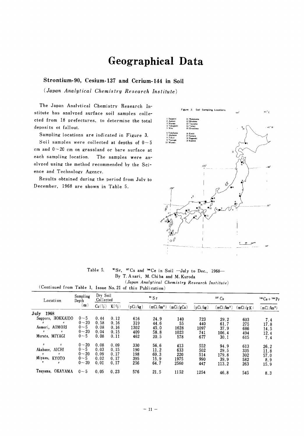# Geographical Data

#### Strontium-90, Cesium-137 and Cerium-144 in Soil

(Japan Analytical Chemistry Research Institute)

The Japan Analytical Chemistry Research Institute has analyzed surface soil samples collected from 18 prefectures, to determine the total deposits ot fallout.

Sampling locations are indicated in Figure 3.

Soil samples were collected at depths of  $0 \sim 5$ cm and  $0 - 20$  cm on grassland or bare surface at each sampling location. The samples were analvzed using the method recommended by the Science and Technology Agency.

Results obtained during the period from July to December, 1968 are shown in Table 5.



Table 5. <sup>90</sup>Sr, <sup>137</sup>Cs and <sup>144</sup>Ce in Soil -July to Dec., 1968-By T. Asari, M. Chiba and M. Kuroda

 $\langle Japan\ Analytical\ Chemistry\ Research\ Institute\rangle$ (Continued from Table 1, Issue No. 21 of this Publication)

| Location                                                         | Sampling<br>Depth               | Dry Soil<br>Collected |                      | $\rm{^{90}Sr}$    |                        | $137 \text{ Cs}$    |                   |                        | $^{144}Ce + ^{144}Pr$ |                             |
|------------------------------------------------------------------|---------------------------------|-----------------------|----------------------|-------------------|------------------------|---------------------|-------------------|------------------------|-----------------------|-----------------------------|
|                                                                  | $(c_{m})$                       | $Ca(\%)$              | $K(\%)$              | (pCi/kg)          | (mCi/km <sup>2</sup> ) | (mCi/gCa)           | (pCi/kg)          | $(mCi/km^2)$           | (mCi/gK)              | $\langle mCi /km^2 \rangle$ |
| July<br>1968                                                     |                                 |                       |                      |                   |                        |                     |                   |                        |                       |                             |
| Sapporo, HOKKAIDO<br>$\boldsymbol{\mu}$                          | $0 - 5$<br>$0 - 20$             | 0.44<br>0.58          | 0.12<br>0.16         | 616<br>319        | 24.9<br>44.6           | 140<br>55           | 723<br>440        | 29.2<br>61.7           | 603<br>275            | 7.4<br>17.8                 |
| Aomori, AOMORI<br>$^{\prime\prime}$<br>n                         | $0 - 5$<br>$0 - 20$             | 0.08<br>0.04          | 0.16<br>0.15         | 1302<br>409       | 45.0<br>58.8           | 1628<br>1023        | 1097<br>741       | 37.9<br>106.4          | 686                   | 14.5                        |
| Murata, MIYAGI                                                   | $0 - 5$                         | 0.08                  | 0.11                 | 462               | 20.5                   | 578                 | 677               | 30.1                   | 494<br>615            | 12.4<br>7.4                 |
| $\boldsymbol{H}$<br>#<br>Akabane, AICHI<br>$\boldsymbol{y}$<br>Ħ | $0 - 20$<br>$0 - 5$<br>$0 - 20$ | 0.08<br>0.03<br>0.09  | 0.09<br>0.15<br>0.17 | 330<br>190<br>198 | 56.6<br>11.2           | 413<br>633          | 552<br>502        | 94.9<br>29.5           | 613<br>335            | 26.2<br>11.8                |
| Miyazu, KYOTO<br>$\boldsymbol{n}$<br>$\boldsymbol{n}$            | $0 - 5$<br>$0 - 20$             | 0.02<br>0.01          | 0.17<br>0.17         | 395<br>256        | 69.3<br>15.9<br>64.7   | 220<br>1975<br>2560 | 514<br>990<br>447 | 179.8<br>39.9<br>113.2 | 302<br>582<br>263     | 57.0<br>8.9<br>15.9         |
| Tsuyama, OKAYAMA                                                 | $0 - 5$                         | 0.05                  | 0.23                 | 576               | 21.5                   | 1152                | 1254              | 46.8                   | 545                   | 8.3                         |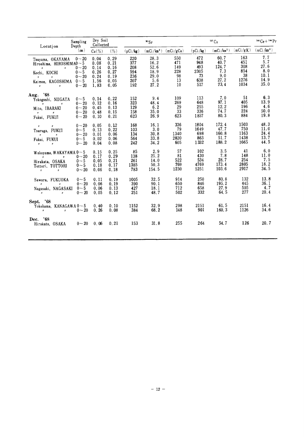| Location                                                                                                                                                                                                                                                                                                                                                                                                                                                                                                                                                                           | Sampling<br>Depth<br>(m)                                 | Dry Soil<br>Collected                                |                                                      | $\mathbf{S}$ s                                |                                                     |                                              | $137 \text{Cs}$                                 |                                                     |                                                  | $^{144}$ Ce + $^{144}$ Pr                         |  |
|------------------------------------------------------------------------------------------------------------------------------------------------------------------------------------------------------------------------------------------------------------------------------------------------------------------------------------------------------------------------------------------------------------------------------------------------------------------------------------------------------------------------------------------------------------------------------------|----------------------------------------------------------|------------------------------------------------------|------------------------------------------------------|-----------------------------------------------|-----------------------------------------------------|----------------------------------------------|-------------------------------------------------|-----------------------------------------------------|--------------------------------------------------|---------------------------------------------------|--|
|                                                                                                                                                                                                                                                                                                                                                                                                                                                                                                                                                                                    |                                                          | $Ca(\%)$                                             | (%)                                                  | (pCi/kg)                                      | (mCi/km <sup>2</sup> )                              | (mCi/gCa)                                    | (pCi/kg)                                        | (mCi/km <sup>2</sup> )                              | (mCi/gK)                                         | (mCi/km <sup>2</sup> )                            |  |
| Tsuyama, OKAYAMA $0 \sim 20$<br>Hiroshima, HIROSHIMA0 $-5$<br>$\boldsymbol{H}$<br>$\boldsymbol{u}$<br>Kochi, KOCHI<br>$\theta$ and $\theta$ and $\theta$ and $\theta$ and $\theta$ and $\theta$ and $\theta$ and $\theta$ and $\theta$ and $\theta$ and $\theta$ and $\theta$ and $\theta$ and $\theta$ and $\theta$ and $\theta$ and $\theta$ and $\theta$ and $\theta$ and $\theta$ and $\theta$ and $\theta$ and $\theta$ and $\theta$ and $\theta$<br>Kaimon, KAGOSHIMA $0 - 5$<br>$\mathbf{H}$ and $\mathbf{H}$ and $\mathbf{H}$ and $\mathbf{H}$ are the set of $\mathbf{H}$ | $0 - 20$<br>$0 - 5$<br>$0 - 20$<br>$0 - 20$              | 0.04<br>0.08<br>0.14<br>0.26<br>0.24<br>1.56<br>1.83 | 0.29<br>0.21<br>0.16<br>0.27<br>0.19<br>0.05<br>0.05 | 220<br>377<br>208<br>594<br>236<br>207<br>192 | 28.3<br>16.2<br>52.6<br>18.9<br>29.0<br>5.6<br>27.2 | 550<br>471<br>149<br>228<br>98<br>- 13<br>10 | 472<br>948<br>493<br>2305<br>- 73<br>638<br>517 | 60.7<br>40.7<br>124.7<br>7.3<br>9.0<br>27.2<br>73.4 | 163<br>451<br>308<br>854<br>- 38<br>1276<br>1034 | 7.7<br>5.7<br>27.6<br>8.0<br>10.1<br>14.9<br>35.0 |  |
| Aug. '68<br>Yokogoshi, NIIGATA<br>$\mathbb{R}$ and $\mathbb{R}$ and $\mathbb{R}$ and $\mathbb{R}$ and $\mathbb{R}$ and $\mathbb{R}$ and $\mathbb{R}$ and $\mathbb{R}$ and $\mathbb{R}$ and $\mathbb{R}$ and $\mathbb{R}$ and $\mathbb{R}$ and $\mathbb{R}$ and $\mathbb{R}$ and $\mathbb{R}$ and $\mathbb{R}$ and $\mathbb{R}$ and<br>Mito, IBARAKI<br>$\mathcal{U}$ and $\mathcal{U}$ and $\mathcal{U}$<br>Fukui, FUKUI                                                                                                                                                           | $0\sim5$<br>$0 - 20$<br>$0 - 20$<br>$0 - 20$<br>$0 - 20$ | 0.14<br>0.12<br>0.45<br>0.48<br>0.10                 | 0.22<br>0.16<br>0.13<br>0.15<br>0.21                 | 152<br>323<br>129<br>158<br>623               | 9.4<br>48.4<br>6.2<br>35.0<br>26.9                  | 109<br>269<br>- 29<br>33<br>623              | 113<br>648<br>255<br>336<br>1857                | 7.0<br>97.1<br>12.2<br>74.7<br>80.3                 | 51<br>405<br>196<br>224<br>884                   | 6.3<br>13.9<br>4.6<br>50.0<br>19.8                |  |
| $H$ and $H$<br>$\boldsymbol{H}$<br>Tsuruga, FUKUI<br>$H$ and $H$<br>Fukui, FUKUI<br>$\boldsymbol{\eta}$ and $\boldsymbol{\eta}$ and $\boldsymbol{\eta}$ and $\boldsymbol{\eta}$                                                                                                                                                                                                                                                                                                                                                                                                    | $0 - 20$<br>$0 - 5$<br>$0 - 20$<br>$0 - 5$<br>$0 - 20$   | 0.05<br>0.13<br>0.01<br>0.02<br>0.04                 | 0.12<br>0.22<br>0.06<br>0.06<br>0.08                 | 168<br>103<br>134<br>564<br>242               | 16.1<br>3.0<br>30.8<br>33.8<br>34.2                 | 336<br>- 79<br>1340<br>2820<br>605           | 1804<br>1649<br>698<br>863<br>1332              | 172.4<br>47.7<br>160.8<br>51.7<br>188.2             | 1503<br>750<br>1163<br>1438<br>1665              | 48.3<br>11.0<br>24.4<br>13.7<br>44.5              |  |
| Wakayama, WAKAYAMA $0\sim$ 5<br>$\overline{H}$ and $\overline{H}$ and $\overline{H}$ and $\overline{H}$ and $\overline{H}$ and $\overline{H}$ and $\overline{H}$ and $\overline{H}$ and $\overline{H}$ and $\overline{H}$ and $\overline{H}$ and $\overline{H}$ and $\overline{H}$ and $\overline{H}$ and $\overline{H}$ and $\overline{H}$ and $\overline{H}$ and<br>Hirakata, OSAKA<br>Tottori, TOTTORI<br>$\mathbf{n}$ and $\mathbf{n}$                                                                                                                                         | $0 - 20$<br>$0 - 5$<br>$0\sim5$<br>$0 - 20$              | 0.15<br>0.17<br>0.05<br>0.18<br>0.06                 | 0.25<br>0.29<br>0.21<br>0.17<br>0.18                 | 85<br>138<br>261<br>1385<br>783               | 2.9<br>25.2<br>14.0<br>50.3<br>154.5                | 57<br>- 81<br>522<br>769<br>1230             | 102<br>430<br>534<br>4769<br>5251               | 3, 5<br>7.8<br>28.7<br>173.4<br>103.6               | 41<br>148<br>254<br>2805<br>2917                 | 6.0<br>11.0<br>7.5<br>18.2<br>34.5                |  |
| Sawara, FUKUOKA<br>$\boldsymbol{\eta}$<br>$\boldsymbol{\theta}$<br>Nagasaki, NAGASAKI<br>$H$ and $H$ and $H$ and $H$ and $H$ and $H$ and $H$ and $H$                                                                                                                                                                                                                                                                                                                                                                                                                               | $0\sim5$<br>$0 - 20$<br>$0 - 5$<br>$0 - 20$              | 0.11<br>0.06<br>0.06<br>0.05                         | 0.19<br>0.19<br>0.13<br>0.12                         | 1005<br>390<br>427<br>251                     | 32.5<br>90.1<br>18.1<br>48.7                        | 914<br>650<br>712<br>502                     | 250<br>846<br>658<br>332                        | 80.8<br>195.2<br>27.9<br>64.5                       | 132<br>445<br>505<br>277                         | 13.8<br>36.1<br>4.7<br>20.4                       |  |
| Sept. '68<br>Yokohama, KANAGAWA $0 \sim 5$<br>H                                                                                                                                                                                                                                                                                                                                                                                                                                                                                                                                    | $0 - 20$                                                 | 0.40<br>0, 26                                        | 0.10<br>0.08                                         | 1152<br>384                                   | 32.9<br>68.2                                        | 298<br>148                                   | 2151<br>901                                     | 61.5<br>160.3                                       | 2151<br>1126                                     | 16.4<br>34.6                                      |  |
| Dec. '68<br>Hirakata, OSAKA $0 \sim 20$ 0.06                                                                                                                                                                                                                                                                                                                                                                                                                                                                                                                                       |                                                          |                                                      | 0.21                                                 | 153                                           | 31.8                                                | 255                                          | 264                                             | 54.7                                                | 126                                              | 20.7                                              |  |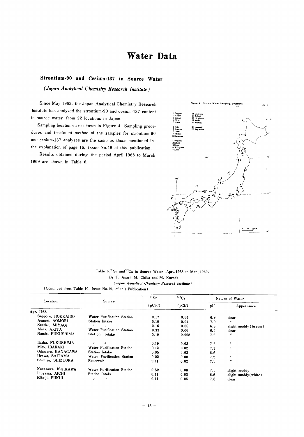## Water Data

#### Strontium-90 and Cesium-137 in Source Water

(Japan Analytical Chemistry Research Institute)

Since May 1963, the Japan Analytical Chemistry Research Institute has analyzed the strontium-90 and cesium-137 content in source water from 22 locations in Japan.

Sampling locations are shown in Figure 4. Sampling procedures and treatment method of the samples for strontium-90 and cesium-137 analyses are the same as those mentioned in the explanation of page 16, Issue No.19 of this publication.

Results obtained during the period April 1968 to March 1969 are shown in Table 6.



Table 6.<sup>90</sup>Sr and<sup>137</sup>Cs in Source Water -Apr., 1968 to Mar., 1969-By T. Asari, M. Chiba and M. Kuroda (Japan Analytical Chemistry Research Institute)

(Continued from Table 10, Issue No.19, of this Publication)

| Location           | Source                                 | $90$ Sr | $137$ Cs | Nature of Water |                      |
|--------------------|----------------------------------------|---------|----------|-----------------|----------------------|
|                    |                                        | (pCi/l) | (pCi/l)  | pН              | Appearance           |
| Apr. 1968          |                                        |         |          |                 |                      |
| Sapporo, HOKKAIDO  | Water Purification Station             | 0.17    | 0.04     | 6.9             | clear                |
| Aomori, AOMORI     | Station Intake                         | 0.10    | 0.04     | 7.0             | $^{\prime\prime}$    |
| Sendai, MIYAGI     | $^{\prime\prime}$<br>$^{\prime\prime}$ | 0.16    | 0.06     | 6.8             | slight muddy (brawn) |
| Akita, AKITA       | Water Purification Station             | 0.33    | 0.06     | 6.6             | clear                |
| Namie, FUKUSHIMA   | Station Intake                         | 0.10    | 0.005    | 7.2             | $^{\prime\prime}$    |
| Iizaka. FUKUSHIMA  | $^{\prime\prime}$<br>$^{\prime\prime}$ | 0.19    | 0.03     | 7.2             | $^{\prime\prime}$    |
| Mito, IBARAKI      | Water Purification Station             | 0.12    | 0.02     | 7.1             | $^{\prime\prime}$    |
| Odawara, KANAGAWA  | Station Intake                         | 0.05    | 0.03     | 6.6             |                      |
| Urawa, SAITAMA     | Water Purification Station             | 0.02    | 0.001    | 7.2             | $^{\prime\prime}$    |
| Shimizu. SHIZUOKA  | Reservoir                              | 0.11    | 0.02     | 7.1             | $^{\prime\prime}$    |
| Kanazawa. ISHIKAWA | Water Purification Station             | 0.50    | 0.08     | 7.1             | slight muddy         |
| Inuyama, AICHI     | Station Intake                         | 0.11    | 0.03     | 6.5             | slight muddy(white)  |
| Eiheiji, FUKUI     | $\eta$<br>$\boldsymbol{R}$             | 0.11    | 0.05     | 7.6             | clear                |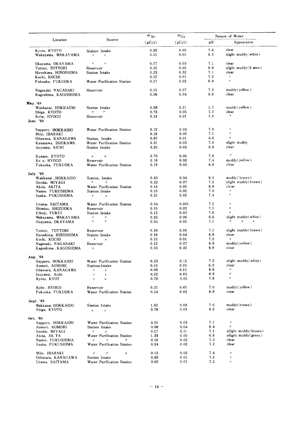|                                      |                                                                   | 90 Sr        | $^{137}Cs$   |            | Nature of Water                                               |
|--------------------------------------|-------------------------------------------------------------------|--------------|--------------|------------|---------------------------------------------------------------|
| Location                             | Source                                                            | (pCi/l)      | (pCi/l)      | pH         | Appearance                                                    |
| Kyoto, KYOTO<br>Wakayama, WAKAYAMA   | Station Intake                                                    | 0.82<br>0.15 | 0.05<br>0.05 | 7.6<br>6.5 | clear<br>slight muddy(white)                                  |
| Okayama, OKAYAMA                     | $\boldsymbol{\eta}$<br>$\eta$                                     | 0.17         | 0.03         | 7.1        | clear                                                         |
| Tottori, TOTTORI                     | Reservoir                                                         | 0.12         | 0.05         | 6.9        | slight muddy(b awn)                                           |
| Hiroshima, HIROSHIMA                 | Station Intake                                                    | 0.23         | 0.32         | 7.1        | clear                                                         |
| Kochi, KOCHI                         |                                                                   | 0.12         | 0.01         | 7.2        | $\eta$                                                        |
| Fukuoka, FUKUOKA                     | Water Purification Station                                        | 0.17         | 0.02         | 6.8        | $\boldsymbol{t}$                                              |
| Nagasaki, NAGASAKI                   | Reservoir                                                         | 0.15         | 0.07         | 7.3        | muddy(yellow)                                                 |
| Kagoshima, KAGOSHIMA                 |                                                                   | 0.06         | 0.04         | 6.8        | clear                                                         |
| May.'68                              |                                                                   |              |              |            |                                                               |
| Wakkanai, HOKKAIDO                   | <b>Station Intake</b><br>$\boldsymbol{\eta}$<br>$^{\prime\prime}$ | 0.59         | 0.11<br>0.05 | 5.7<br>7.7 | muddy(yellow)<br>clear                                        |
| Shiga, KYOTO                         |                                                                   | 0.73         |              | 7.0        | $^{\prime\prime}$                                             |
| Kobe, HYOGO<br>June. '68             | Reservoir                                                         | 0.13         | 0.01         |            |                                                               |
|                                      |                                                                   | 0.12         | 0.03         | 7.0        | $\eta$                                                        |
| Sapporo, HOKKAIDO<br>Mito, IBARAKI   | Water Purification Station                                        | 0.18         | 0.05         | 7.1        | $^{\prime\prime}$                                             |
| Odawara, KANAGAWA                    | Station, Intake                                                   | 0.07         | 0.01         | 6.6        | $\pmb{\eta}$                                                  |
|                                      |                                                                   | 0.31         | 0.03         | 7.0        | slight muddy                                                  |
| Kanazawa, ISHIKAWA<br>Inuyama, AICHI | Water Purification Station<br>Station Intake                      | 0.20         | 0.03         | 6.8        | clear                                                         |
|                                      |                                                                   |              |              |            |                                                               |
| Kusazu, KYOTO                        | n<br>$^{\prime\prime}$                                            | 0.75         | 0.05         | 7.6        | $^{\prime\prime}$                                             |
| Ko e, HYOGO                          | Reservoir                                                         | 0.16         | 0.03         | 7.4        | muddy(yellow)                                                 |
| Fukuoka, FUKUOKA                     | Water Purification Station                                        | 0.19         | 0.03         | 6.8        | clear                                                         |
| <b>July.</b> '68                     |                                                                   |              |              |            |                                                               |
| Wakkanai , HOKKAIDO                  | Station, Intake                                                   | 0.83         | 0.34         | 6.0        | muddy(brawn)                                                  |
| Sendai, MIYAGI                       | $\eta$                                                            | 0.22         | 0.07         | 7.2        | slight muddy(brawn)                                           |
| Akita, AKITA                         | Water Purification Station                                        | 0.16         | 0.05         | 6.8        | cle ar                                                        |
| Namie, FUKUSHIMA                     | Station Intake                                                    | 0.15         | 0.02         | 7.0        | $\boldsymbol{H}$                                              |
| Iizaka, FUKUSHIMA                    | Ħ<br>$^{\prime\prime}$                                            | 0.21         | 0.02         | 7.4        | $\theta$                                                      |
| Urama, SAITAMA                       | Water Purification Station                                        | 0.04         | 0.001        | 7.2        | $\boldsymbol{\mathcal{U}}$                                    |
| Shimizu, SHIZUOKA                    | Reservoir                                                         | 0.10         | 0.02         | 7.1        | $\boldsymbol{y}$                                              |
| Eiheiji, FUKUI                       | Station Intake                                                    | 0.13         | 0.03         | 7.6        | $\boldsymbol{\eta}$                                           |
| Wakayama, WAKAYAMA                   | $\prime\prime$                                                    | 0.22         | 0.06         | 6.6        | slight muddy(white)                                           |
| Okayama, OKAYAMA                     | $\boldsymbol{\eta}$<br>$^{\prime\prime}$                          | 0.34         | 0.05         | 7.1        | $^{\prime\prime}$<br>$\pmb{\mathcal{H}}$<br>$^{\prime\prime}$ |
| Tottori, TOTTORI                     | Reservoir                                                         | 0.26         | 0.06         | 7.1        | slight muddy(brawn)                                           |
| Hiroshima, HIROSHIMA                 | Station Intake                                                    | 0.16         | 0.04         | 6.9        | clear                                                         |
| Kochi, KOCHI                         | H<br>n                                                            | 0.12         | 0.01         | 7.2        | $\boldsymbol{H}$                                              |
| Nagasaki, NAGASAKI                   | Reservoir                                                         | 0.13         | 0.07         | 6.9        | muddy(yellow)                                                 |
| Kagoshima , KAGOSHIMA                | $\boldsymbol{\mathit{H}}$                                         | 0.03         | 0.02         | 6.8        | clear                                                         |
| Aug. '68                             |                                                                   |              |              |            |                                                               |
| Sapporo, HOKKAIDO                    | Water Purification Station                                        | 0.23         | 0.12         | 7.2        | slight muddy(white)                                           |
| Aomori, AOMORI                       | Stations Intake                                                   | 0.10         | 0.05         | 6.2        | clear                                                         |
| Odawara, KANAGAWA                    | $\pmb{\mu}$<br>$^{\prime\prime}$                                  | 0.06         | 0.01         | 6.6        | $\boldsymbol{\mathcal{H}}$                                    |
| Inuyama, Aichi                       | $\mu$<br>Ħ                                                        | 0.22         | 0.03         | 6.9        | $\pmb{\mathcal{H}}$                                           |
| Kyoto, KYOT                          | $\boldsymbol{\mu}$<br>$\boldsymbol{\eta}$                         | 0.79         | 0.05         | 7.8        | $\eta$                                                        |
| Kobe, HYOGO                          | Reservoir                                                         | 0.21         | 0.01         | 7.0        | muddy(yellow)                                                 |
| Fukuoka, FUKUOKA                     | Wator Purification Station                                        | 0.24         | 0.02         | 6.8        | clear                                                         |
| Sept. '68                            |                                                                   |              |              |            |                                                               |
| Wakkanai HOKKAIDO                    | Station Intake                                                    | 1.00         | 0.08         | 7.0        | muddy(brawn)                                                  |
| Shiga, KYOTO                         | $^{\prime\prime}$<br>$\boldsymbol{H}$                             | 0.78         | 0.03         | 8.2        | clear                                                         |
| Oct. '68                             |                                                                   |              |              |            |                                                               |
| Sapporo, HOKKAIDO                    | Water Purification Station                                        | 0.15         | 0.03         | 7.1        | $\eta$                                                        |
| Aomori, AOMORI                       | Station Intake                                                    | 0.08         | 0.04         | 6.4        | $^{\prime\prime}$                                             |
| Sendai, MIYAGI                       | $\boldsymbol{\eta}$<br>$^{\prime\prime}$                          | 0.17         | 0.10         | 7.1        | silight muddy(brawn)                                          |
| Akita, AK TA                         | Water Purification Station                                        | 0.33         | 0.05         | 6.8        | silight muddy(green)                                          |
| Namie, FUKUSHIMA                     | $\eta$<br>$\boldsymbol{\eta}$<br>$^{\prime\prime}$                | 0.10         | 0.02         | 7.3        | clear                                                         |
| lizaka, FUKUSHIMA                    | Water Purification Station                                        | 0.24         | 0.02         | 7.2        | clear                                                         |
| Mito. IBARAKI                        | $^{\prime\prime}$<br>$\boldsymbol{n}$<br>$\boldsymbol{\eta}$      | 0.13         | 0.02         | 7.4        | $\boldsymbol{\mathcal{U}}$                                    |
| Odawara, KANAGAWA                    | Station Intake                                                    | 0.03         | 0.01         | 7.2        | $\mu$                                                         |
| Urawa, SAITAMA                       | Water Purification Station                                        | 0.02         | 0.01         | 7.2        | $\mu$                                                         |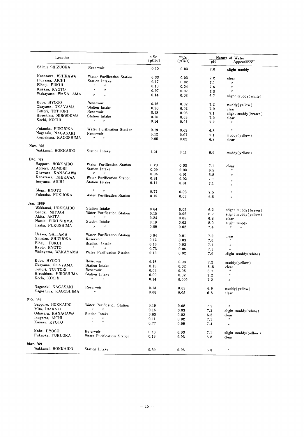| Location             |                                                     | $\mathfrak{O}$ Sr<br>(pCi/l) | 137C <sub>S</sub><br>(pCi/l) | pH  | Nature of Water<br>Appearance                    |
|----------------------|-----------------------------------------------------|------------------------------|------------------------------|-----|--------------------------------------------------|
| Shimiz SHIZUOKA      | Reservoir                                           | 0.10                         | 0.03                         | 7.0 | slight muddy                                     |
| Kanazawa, ISHIKAWA   | Water Purification Station                          | 0.33                         | 0.03                         |     |                                                  |
| Inuyama, AICHI       | Station Intake                                      | 0.17                         | 0.02                         | 7.2 | clear                                            |
| Eiheiji, FUKUI       | $\boldsymbol{\mu}$<br>$^{\prime\prime}$             | 0.10                         |                              | 7.1 | $^{\prime\prime}$                                |
| Kusazu, KYOTO        | $\boldsymbol{\mathcal{H}}$<br>$\boldsymbol{\theta}$ |                              | 0.04                         | 7.6 | $\eta$                                           |
| Wakayama, WAKA AMA   | $\boldsymbol{H}$                                    | 0.97                         | 0.07                         | 7.3 | $\theta$                                         |
|                      | $^{\prime\prime}$                                   | 0.14                         | 0.03                         | 6.7 | slight muddy(white)                              |
| Kobe, HYOGO          | Reservoir                                           | 0.16                         | 0.02                         | 7.2 | muddy(yellow)                                    |
| Okayama, OKAYAMA     | Station Intake                                      | 0.20                         | 0.02                         | 7.0 | clear                                            |
| Tottori, TOTTORI     | Reservoir                                           | 0.18                         | 0.06                         | 7.1 | slight muddy(brawn)                              |
| Hiroshima, HIROSHIMA | Station Intake                                      | 0.15                         | 0.03                         | 7.0 | clear                                            |
| Kochi, KOCHI         | $\boldsymbol{\eta}$<br>$\boldsymbol{\mu}$           | 0.14                         | 0.01                         | 7.2 | $\boldsymbol{\varPi}$                            |
| Fukuoka, FUKUOKA     | Water Purification Station                          | 0.19                         | 0.03                         | 6.8 | $^{\prime\prime}$                                |
| Nagasaki, NAGASAKI   | Reservoir                                           | 0.12                         | 0.07                         | 7.1 |                                                  |
| Kagoshima, KAGOSHIMA | $\boldsymbol{\theta}$<br>$\boldsymbol{\eta}$        | 0.05                         | 0.02                         | 6.8 | muddy(yellow)<br>clear                           |
| Nov. '68             |                                                     |                              |                              |     |                                                  |
| Wakkanai, HOKKAIDO   | <b>Station Intake</b>                               | 1.01                         | 0.11                         | 6.6 | muddy(yellow)                                    |
| Dec. '68             |                                                     |                              |                              |     |                                                  |
| Sapporo, HOKKAIDO    | Water Purification Station                          | 0.20                         | 0.03                         |     |                                                  |
| Aomori, AOMORI       | Station Intake                                      | 0.09                         |                              | 7.1 | clear<br>$^{\prime\prime}$                       |
| Odawara, KANAGAWA    | $\boldsymbol{\mu}$<br>$^{\prime\prime}$             | 0.04                         | 0.03                         | 6.5 |                                                  |
| Kanazawa, ISHIKAWA   | Water Purification Station                          |                              | 0.01                         | 6.8 | $\eta$                                           |
| Inuyama, AICHI       | Station Intake                                      | 0.31                         | 0.02                         | 7.1 | $\boldsymbol{\eta}$                              |
|                      |                                                     | 0.11                         | 0.01                         | 7.1 | $\theta$                                         |
| Shiga, KYOTO         | $\boldsymbol{\eta}$<br>$\boldsymbol{H}$             | 0.77                         | 0.03                         | 7.5 | $\boldsymbol{\mathcal{U}}$                       |
| Fukuoka, FUKUOKA     | Water Purification Station                          | 0.15                         | 0.03                         | 6.8 | $\boldsymbol{n}$                                 |
| Jan. 1969            |                                                     |                              |                              |     |                                                  |
| Wakkanai, HOKKAIDO   | Station Intake                                      | 0.64                         | 0.05                         | 6.2 |                                                  |
| Sendai, MIYAGI       | Water Purification Station                          | 0.15                         | 0.06                         | 6.7 | slight muddy (brawn)                             |
| Akita, AKITA         | $\boldsymbol{\mathcal{U}}$<br>$\overline{u}$        | 0.24                         | 0.05                         | 6.8 | slight muddy(yellow)                             |
| Namie, FUKUSHIMA     | Station Intake                                      | 0.19                         | 0.02                         | 8.0 | clear                                            |
| Iizaka, FUKUSHIMA    | $\eta$<br>$\boldsymbol{\eta}$                       | 0.09                         | 0.02                         | 7.4 | slight muddy<br>$H^{\pm}$<br>$\boldsymbol{\eta}$ |
| Urawa, SAITAMA       | Water Purification Station                          |                              |                              |     |                                                  |
| Shimizu, SHIZUOKA    | Reservoir                                           | 0.04                         | 0.01                         | 7.2 | clear                                            |
| Eiheiji, FUKUI       |                                                     | 0.12                         | 0.03                         | 7.0 | $^{\prime\prime}$                                |
| Kyoto, KYOTO         | Station, Intake<br>$^{\prime\prime}$                | 0.10                         | 0.03                         | 7.1 | $\boldsymbol{\eta}$                              |
|                      | $\boldsymbol{H}$                                    | 0.73                         | 0.05                         | 7.1 | $^{\prime\prime}$                                |
| Wakayama, WAKAYAMA   | Wates Purification Station                          | 0.13                         | 0.02                         | 7.0 | slight muddy(white)                              |
| Kobe, HYOGO          | Reservoir                                           | 0.16                         | 0.03                         | 7.2 | muddy(yellow)                                    |
| Okayama, OKAYAMA     | Station Intake                                      | 0.15                         | 0.02                         | 6.8 | clear                                            |
| Tottori, TOTTORI     | Reservoir                                           | 0.04                         | 0.06                         | 6.7 | $\boldsymbol{\mathit{II}}$                       |
| Hiroshima, HIROSHIMA | Station Intake                                      | 0.09                         | 0.02                         | 7.2 | $\boldsymbol{\mu}$                               |
| Kochi, KOCHI         | $\boldsymbol{\eta}$<br>$\boldsymbol{\eta}$          | 0.14                         | 0.005                        | 7.2 | $^{\prime\prime}$                                |
| Nagasaki, NAGASAKI   | Reservoir                                           | 0.13                         | 0.02                         | 6.9 | muddy(yellow)                                    |
| Kagoshima, KAGOSHIMA | $\boldsymbol{\mu}$                                  | 0.06                         | 0.05                         | 6.8 | clear                                            |
| Feb. '69             |                                                     |                              |                              |     |                                                  |
| Sapporo, HOKKAIDO    | Water Purification Station                          | 0.19                         | 0.08                         |     | $\boldsymbol{\eta}$                              |
| Mito, IBARAKI        | $\boldsymbol{H}$<br>$^{\prime\prime}$               | 0.16                         |                              | 7.2 |                                                  |
| Odawara, KANAGAWA    | Station Intake                                      |                              | 0.03                         | 7.2 | slight muddy(white)                              |
| Inuyama, AICHI       | $\boldsymbol{H}$<br>$\boldsymbol{\eta}$             | 0.03                         | 0.02                         | 6.8 | clear                                            |
| Kusazu, KYOTO        | $\boldsymbol{H}$<br>$\cal R$                        | 0.11<br>0.77                 | 0.02<br>0.09                 | 7.1 | $^{\prime\prime}$                                |
|                      |                                                     |                              |                              | 7.4 | $\boldsymbol{\mathcal{U}}$                       |
| Kobe, HYOGO          | Re ervoir                                           | 0.13                         | 0.03                         | 7.1 | slight muddy(yellow)                             |
| Fukuoka, FUKUOKA     | Water Purificatinm Station                          | 0.16                         | 0.03                         | 6.8 | clear                                            |
| Mar. '69             |                                                     |                              |                              |     |                                                  |
| Wakkanai, HOKKAIDO   |                                                     |                              |                              |     |                                                  |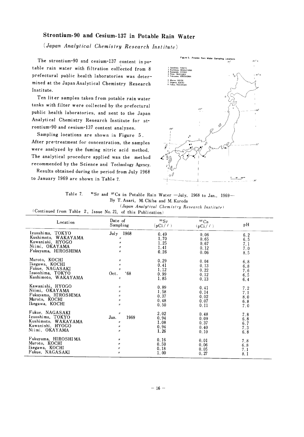#### Strontium-90 and Cesium-137 in Potable Rain Water

(Japan Analytical Chemistry Research Institute)

The strontium-90 and cesium-137 content in potable rain water with filtration collected from 8 prefectural public health laboratories was determined at the Japan Analytical Chemistry Research Institute.

Ten liter samples taken from potable rain water tanks with filter were collected by the prefectural public health laboratories, and sent to the Japan Analytical Chemistry Research Institute for strontium-90 and cesium-137 content analyses.

Sampling locations are shown in Figure 5. After pre-treatment for concentration, the samples were analyzed by the fuming nitric acid method. The analytical procedure applied was the method recommended by the Science and Technology Agency.

Results obtained during the period from July 1968 to January 1969 are shown in Table 7.



<sup>30</sup>Sr and <sup>137</sup>Cs in Potable Rain Water -July, 1968 to Jan., 1969-Table 7. By T. Asari, M. Chiba and M. Kuroda

(Japan Analytical Chemistry Research Institute) (Continued from Table 2, Issue No. 21, of this Publication)

| Location                                                                                         | Date of<br>Sampling                                                                               | $90$ Sr<br>$(pCi / \ell)$            | ${}^{137}Cs$<br>$(pCi / \ell)$       | рH                              |  |
|--------------------------------------------------------------------------------------------------|---------------------------------------------------------------------------------------------------|--------------------------------------|--------------------------------------|---------------------------------|--|
| Izuoshima, TOKYO                                                                                 | July 1968                                                                                         | 0.49                                 | 0.06                                 | 6.2                             |  |
| Kushimoto, WAKAYAMA                                                                              | $\boldsymbol{H}$                                                                                  | 1.70                                 | 0.65                                 | 6.5                             |  |
| Kawanishi, HYOGO                                                                                 | $\boldsymbol{\eta}$                                                                               | 1.25                                 | 0.67                                 | 7.1                             |  |
| Niimi, OKAYAMA                                                                                   | $\eta$                                                                                            | 1.41                                 | 0.12                                 | 7.0                             |  |
| Fukuyama, HIROSHIMA                                                                              | $\boldsymbol{n}$                                                                                  | 0.26                                 | 0.06                                 | 8.5                             |  |
| Muroto, KOCHI<br>Ikegawa, KOCHI<br>Fukue, NAGASAKI<br>Izuoshima, TOKYO<br>Kushimoto, WAKAYAMA    | $^{\prime\prime}$<br>$^{\prime\prime}$<br>$\boldsymbol{\eta}$<br>.68<br>Oct.<br>$^{\prime\prime}$ | 0.29<br>0.41<br>1.12<br>0.99<br>1.85 | 0.04<br>0.13<br>0.22<br>0.12<br>0.13 | 6.8<br>6.8<br>7.6<br>6.5<br>6.4 |  |
| Kawanishi, HYOGO                                                                                 | $^{\prime\prime}$                                                                                 | 0.89                                 | 0.41                                 | 7.2                             |  |
| Niimi, OKAYAMA                                                                                   | $^{\prime\prime}$                                                                                 | 1.58                                 | 0.14                                 | 7.1                             |  |
| Fukuyama, HIROSHIMA                                                                              | $^{\prime\prime}$                                                                                 | 0.37                                 | 0.02                                 | 8.0                             |  |
| Muroto, KOCHI                                                                                    | $\boldsymbol{\eta}$                                                                               | 0.48                                 | 0.07                                 | 6.8                             |  |
| Ikegawa, KOCHI                                                                                   | $\boldsymbol{H}$                                                                                  | 0.50                                 | 0.11                                 | 7.0                             |  |
| Fukue, NAGASAKI<br>Izuoshima, TOKYO<br>Kushimoto, WAKAYAMA<br>Kawanishi, HYOGO<br>Niimi, OKAYAMA | $\boldsymbol{\mu}$<br>1969<br>Jan.<br>$\pmb{\mathcal{H}}$<br>$\boldsymbol{n}$<br>$\boldsymbol{H}$ | 2.02<br>0.94<br>1.08<br>0.94<br>1.26 | 0.48<br>0.09<br>0.37<br>0.40<br>0.10 | 7.8<br>6.8<br>6.7<br>7.3<br>6.8 |  |
| Fukuyama, HIROSHIMA                                                                              | $^{\prime\prime}$                                                                                 | 0.16                                 | 0.01                                 | 7.8                             |  |
| Muroto, KOCHI                                                                                    | $^{\prime\prime}$                                                                                 | 0.50                                 | 0.06                                 | 6.8                             |  |
| Ikegawa, KOCHI                                                                                   | $\boldsymbol{\mu}$                                                                                | 0.18                                 | 0.05                                 | 7.1                             |  |
| Fukue, NAGASAKI                                                                                  | $\boldsymbol{n}$                                                                                  | 1.00                                 | 0.27                                 | 8.1                             |  |